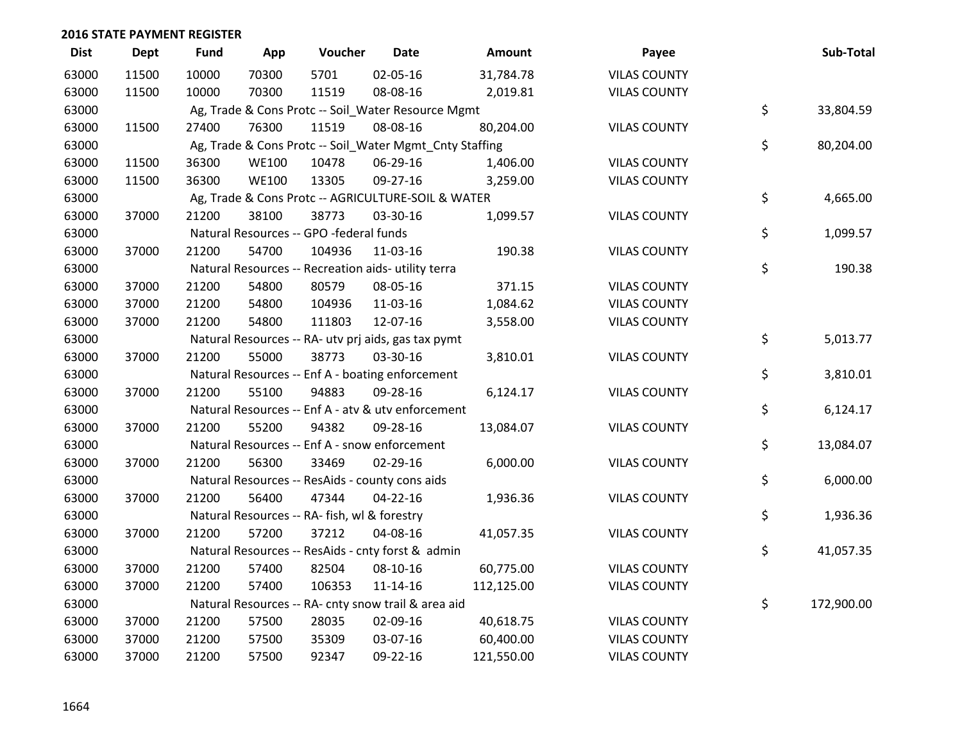| <b>Dist</b> | <b>Dept</b> | <b>Fund</b> | App          | Voucher                                      | <b>Date</b>                                             | Amount     | Payee               | Sub-Total        |
|-------------|-------------|-------------|--------------|----------------------------------------------|---------------------------------------------------------|------------|---------------------|------------------|
| 63000       | 11500       | 10000       | 70300        | 5701                                         | 02-05-16                                                | 31,784.78  | <b>VILAS COUNTY</b> |                  |
| 63000       | 11500       | 10000       | 70300        | 11519                                        | 08-08-16                                                | 2,019.81   | <b>VILAS COUNTY</b> |                  |
| 63000       |             |             |              |                                              | Ag, Trade & Cons Protc -- Soil_Water Resource Mgmt      |            |                     | \$<br>33,804.59  |
| 63000       | 11500       | 27400       | 76300        | 11519                                        | 08-08-16                                                | 80,204.00  | <b>VILAS COUNTY</b> |                  |
| 63000       |             |             |              |                                              | Ag, Trade & Cons Protc -- Soil_Water Mgmt_Cnty Staffing |            |                     | \$<br>80,204.00  |
| 63000       | 11500       | 36300       | <b>WE100</b> | 10478                                        | 06-29-16                                                | 1,406.00   | <b>VILAS COUNTY</b> |                  |
| 63000       | 11500       | 36300       | <b>WE100</b> | 13305                                        | 09-27-16                                                | 3,259.00   | <b>VILAS COUNTY</b> |                  |
| 63000       |             |             |              |                                              | Ag, Trade & Cons Protc -- AGRICULTURE-SOIL & WATER      |            |                     | \$<br>4,665.00   |
| 63000       | 37000       | 21200       | 38100        | 38773                                        | 03-30-16                                                | 1,099.57   | <b>VILAS COUNTY</b> |                  |
| 63000       |             |             |              | Natural Resources -- GPO -federal funds      |                                                         |            |                     | \$<br>1,099.57   |
| 63000       | 37000       | 21200       | 54700        | 104936                                       | 11-03-16                                                | 190.38     | <b>VILAS COUNTY</b> |                  |
| 63000       |             |             |              |                                              | Natural Resources -- Recreation aids- utility terra     |            |                     | \$<br>190.38     |
| 63000       | 37000       | 21200       | 54800        | 80579                                        | 08-05-16                                                | 371.15     | <b>VILAS COUNTY</b> |                  |
| 63000       | 37000       | 21200       | 54800        | 104936                                       | 11-03-16                                                | 1,084.62   | <b>VILAS COUNTY</b> |                  |
| 63000       | 37000       | 21200       | 54800        | 111803                                       | 12-07-16                                                | 3,558.00   | <b>VILAS COUNTY</b> |                  |
| 63000       |             |             |              |                                              | Natural Resources -- RA- utv prj aids, gas tax pymt     |            |                     | \$<br>5,013.77   |
| 63000       | 37000       | 21200       | 55000        | 38773                                        | 03-30-16                                                | 3,810.01   | <b>VILAS COUNTY</b> |                  |
| 63000       |             |             |              |                                              | Natural Resources -- Enf A - boating enforcement        |            |                     | \$<br>3,810.01   |
| 63000       | 37000       | 21200       | 55100        | 94883                                        | 09-28-16                                                | 6,124.17   | <b>VILAS COUNTY</b> |                  |
| 63000       |             |             |              |                                              | Natural Resources -- Enf A - atv & utv enforcement      |            |                     | \$<br>6,124.17   |
| 63000       | 37000       | 21200       | 55200        | 94382                                        | 09-28-16                                                | 13,084.07  | <b>VILAS COUNTY</b> |                  |
| 63000       |             |             |              |                                              | Natural Resources -- Enf A - snow enforcement           |            |                     | \$<br>13,084.07  |
| 63000       | 37000       | 21200       | 56300        | 33469                                        | $02 - 29 - 16$                                          | 6,000.00   | <b>VILAS COUNTY</b> |                  |
| 63000       |             |             |              |                                              | Natural Resources -- ResAids - county cons aids         |            |                     | \$<br>6,000.00   |
| 63000       | 37000       | 21200       | 56400        | 47344                                        | $04 - 22 - 16$                                          | 1,936.36   | <b>VILAS COUNTY</b> |                  |
| 63000       |             |             |              | Natural Resources -- RA- fish, wl & forestry |                                                         |            |                     | \$<br>1,936.36   |
| 63000       | 37000       | 21200       | 57200        | 37212                                        | 04-08-16                                                | 41,057.35  | <b>VILAS COUNTY</b> |                  |
| 63000       |             |             |              |                                              | Natural Resources -- ResAids - cnty forst & admin       |            |                     | \$<br>41,057.35  |
| 63000       | 37000       | 21200       | 57400        | 82504                                        | 08-10-16                                                | 60,775.00  | <b>VILAS COUNTY</b> |                  |
| 63000       | 37000       | 21200       | 57400        | 106353                                       | $11 - 14 - 16$                                          | 112,125.00 | <b>VILAS COUNTY</b> |                  |
| 63000       |             |             |              |                                              | Natural Resources -- RA- cnty snow trail & area aid     |            |                     | \$<br>172,900.00 |
| 63000       | 37000       | 21200       | 57500        | 28035                                        | 02-09-16                                                | 40,618.75  | <b>VILAS COUNTY</b> |                  |
| 63000       | 37000       | 21200       | 57500        | 35309                                        | 03-07-16                                                | 60,400.00  | <b>VILAS COUNTY</b> |                  |
| 63000       | 37000       | 21200       | 57500        | 92347                                        | 09-22-16                                                | 121,550.00 | <b>VILAS COUNTY</b> |                  |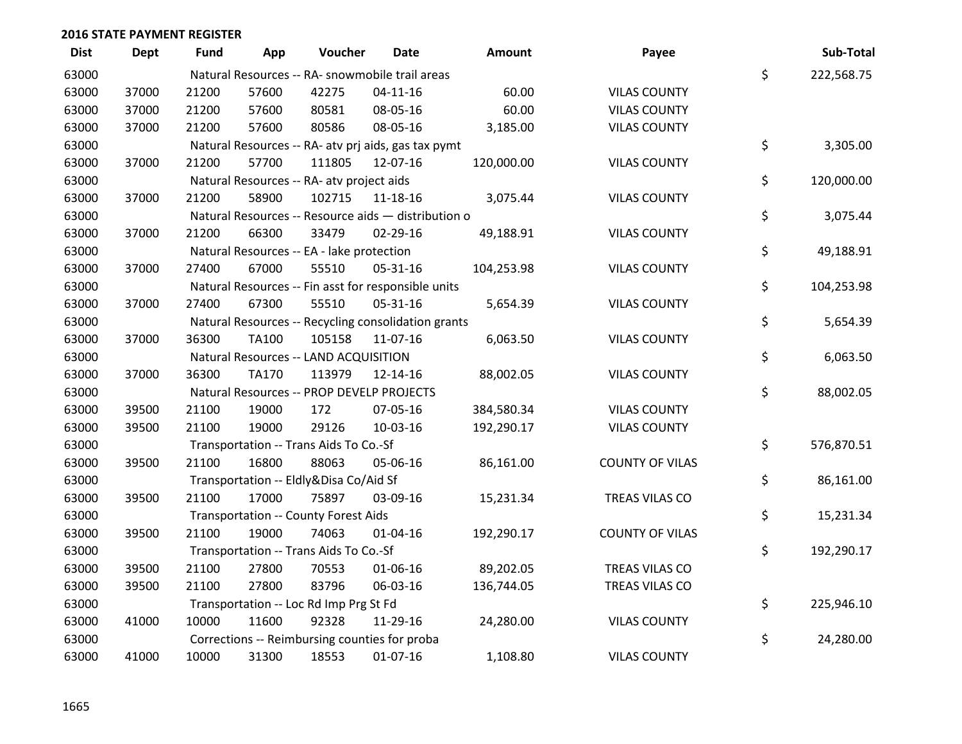| <b>Dist</b> | <b>Dept</b> | <b>Fund</b> | App          | Voucher                                     | <b>Date</b>                                         | <b>Amount</b> | Payee                  | Sub-Total        |
|-------------|-------------|-------------|--------------|---------------------------------------------|-----------------------------------------------------|---------------|------------------------|------------------|
| 63000       |             |             |              |                                             | Natural Resources -- RA- snowmobile trail areas     |               |                        | \$<br>222,568.75 |
| 63000       | 37000       | 21200       | 57600        | 42275                                       | $04 - 11 - 16$                                      | 60.00         | <b>VILAS COUNTY</b>    |                  |
| 63000       | 37000       | 21200       | 57600        | 80581                                       | 08-05-16                                            | 60.00         | <b>VILAS COUNTY</b>    |                  |
| 63000       | 37000       | 21200       | 57600        | 80586                                       | 08-05-16                                            | 3,185.00      | <b>VILAS COUNTY</b>    |                  |
| 63000       |             |             |              |                                             | Natural Resources -- RA- atv prj aids, gas tax pymt |               |                        | \$<br>3,305.00   |
| 63000       | 37000       | 21200       | 57700        | 111805                                      | 12-07-16                                            | 120,000.00    | <b>VILAS COUNTY</b>    |                  |
| 63000       |             |             |              | Natural Resources -- RA- atv project aids   |                                                     |               |                        | \$<br>120,000.00 |
| 63000       | 37000       | 21200       | 58900        | 102715                                      | $11 - 18 - 16$                                      | 3,075.44      | <b>VILAS COUNTY</b>    |                  |
| 63000       |             |             |              |                                             | Natural Resources -- Resource aids - distribution o |               |                        | \$<br>3,075.44   |
| 63000       | 37000       | 21200       | 66300        | 33479                                       | 02-29-16                                            | 49,188.91     | <b>VILAS COUNTY</b>    |                  |
| 63000       |             |             |              | Natural Resources -- EA - lake protection   |                                                     |               |                        | \$<br>49,188.91  |
| 63000       | 37000       | 27400       | 67000        | 55510                                       | 05-31-16                                            | 104,253.98    | <b>VILAS COUNTY</b>    |                  |
| 63000       |             |             |              |                                             | Natural Resources -- Fin asst for responsible units |               |                        | \$<br>104,253.98 |
| 63000       | 37000       | 27400       | 67300        | 55510                                       | 05-31-16                                            | 5,654.39      | <b>VILAS COUNTY</b>    |                  |
| 63000       |             |             |              |                                             | Natural Resources -- Recycling consolidation grants |               |                        | \$<br>5,654.39   |
| 63000       | 37000       | 36300       | <b>TA100</b> | 105158                                      | 11-07-16                                            | 6,063.50      | <b>VILAS COUNTY</b>    |                  |
| 63000       |             |             |              | Natural Resources -- LAND ACQUISITION       |                                                     |               |                        | \$<br>6,063.50   |
| 63000       | 37000       | 36300       | <b>TA170</b> | 113979                                      | 12-14-16                                            | 88,002.05     | <b>VILAS COUNTY</b>    |                  |
| 63000       |             |             |              |                                             | Natural Resources -- PROP DEVELP PROJECTS           |               |                        | \$<br>88,002.05  |
| 63000       | 39500       | 21100       | 19000        | 172                                         | 07-05-16                                            | 384,580.34    | <b>VILAS COUNTY</b>    |                  |
| 63000       | 39500       | 21100       | 19000        | 29126                                       | 10-03-16                                            | 192,290.17    | <b>VILAS COUNTY</b>    |                  |
| 63000       |             |             |              | Transportation -- Trans Aids To Co.-Sf      |                                                     |               |                        | \$<br>576,870.51 |
| 63000       | 39500       | 21100       | 16800        | 88063                                       | 05-06-16                                            | 86,161.00     | <b>COUNTY OF VILAS</b> |                  |
| 63000       |             |             |              | Transportation -- Eldly&Disa Co/Aid Sf      |                                                     |               |                        | \$<br>86,161.00  |
| 63000       | 39500       | 21100       | 17000        | 75897                                       | 03-09-16                                            | 15,231.34     | TREAS VILAS CO         |                  |
| 63000       |             |             |              | <b>Transportation -- County Forest Aids</b> |                                                     |               |                        | \$<br>15,231.34  |
| 63000       | 39500       | 21100       | 19000        | 74063                                       | $01 - 04 - 16$                                      | 192,290.17    | <b>COUNTY OF VILAS</b> |                  |
| 63000       |             |             |              | Transportation -- Trans Aids To Co.-Sf      |                                                     |               |                        | \$<br>192,290.17 |
| 63000       | 39500       | 21100       | 27800        | 70553                                       | 01-06-16                                            | 89,202.05     | TREAS VILAS CO         |                  |
| 63000       | 39500       | 21100       | 27800        | 83796                                       | 06-03-16                                            | 136,744.05    | TREAS VILAS CO         |                  |
| 63000       |             |             |              | Transportation -- Loc Rd Imp Prg St Fd      |                                                     |               |                        | \$<br>225,946.10 |
| 63000       | 41000       | 10000       | 11600        | 92328                                       | 11-29-16                                            | 24,280.00     | <b>VILAS COUNTY</b>    |                  |
| 63000       |             |             |              |                                             | Corrections -- Reimbursing counties for proba       |               |                        | \$<br>24,280.00  |
| 63000       | 41000       | 10000       | 31300        | 18553                                       | $01-07-16$                                          | 1,108.80      | <b>VILAS COUNTY</b>    |                  |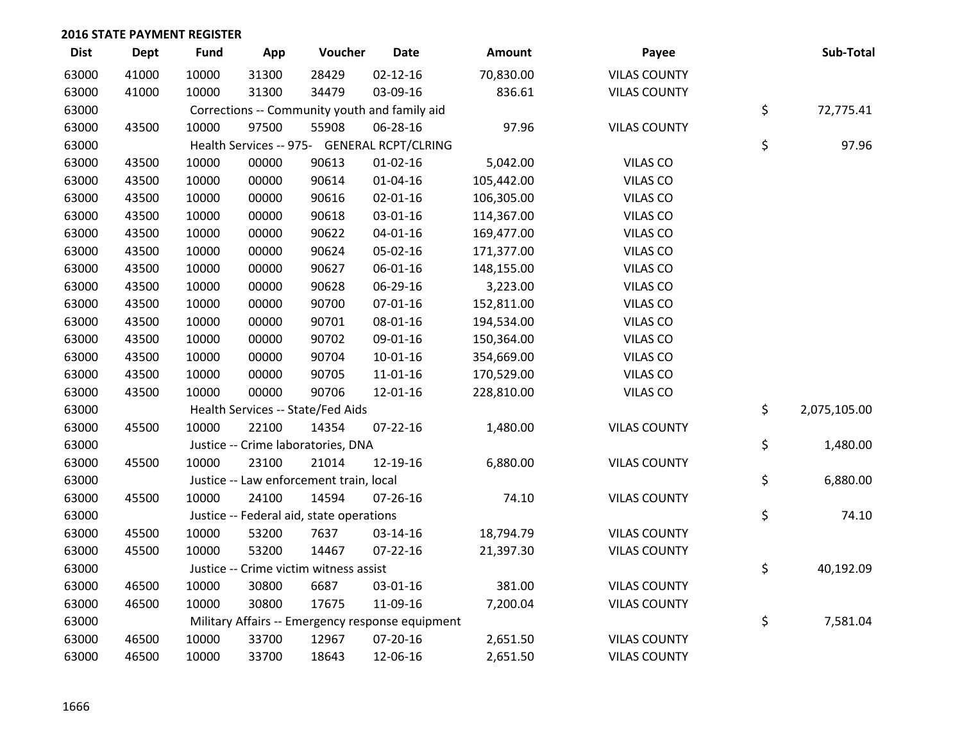| <b>Dist</b> | <b>Dept</b> | <b>Fund</b> | App   | Voucher                                          | <b>Date</b>    | Amount     | Payee               | Sub-Total          |
|-------------|-------------|-------------|-------|--------------------------------------------------|----------------|------------|---------------------|--------------------|
| 63000       | 41000       | 10000       | 31300 | 28429                                            | $02 - 12 - 16$ | 70,830.00  | <b>VILAS COUNTY</b> |                    |
| 63000       | 41000       | 10000       | 31300 | 34479                                            | 03-09-16       | 836.61     | <b>VILAS COUNTY</b> |                    |
| 63000       |             |             |       | Corrections -- Community youth and family aid    |                |            |                     | \$<br>72,775.41    |
| 63000       | 43500       | 10000       | 97500 | 55908                                            | 06-28-16       | 97.96      | <b>VILAS COUNTY</b> |                    |
| 63000       |             |             |       | Health Services -- 975- GENERAL RCPT/CLRING      |                |            |                     | \$<br>97.96        |
| 63000       | 43500       | 10000       | 00000 | 90613                                            | $01 - 02 - 16$ | 5,042.00   | VILAS CO            |                    |
| 63000       | 43500       | 10000       | 00000 | 90614                                            | $01 - 04 - 16$ | 105,442.00 | VILAS CO            |                    |
| 63000       | 43500       | 10000       | 00000 | 90616                                            | $02 - 01 - 16$ | 106,305.00 | VILAS CO            |                    |
| 63000       | 43500       | 10000       | 00000 | 90618                                            | 03-01-16       | 114,367.00 | VILAS CO            |                    |
| 63000       | 43500       | 10000       | 00000 | 90622                                            | $04 - 01 - 16$ | 169,477.00 | VILAS CO            |                    |
| 63000       | 43500       | 10000       | 00000 | 90624                                            | 05-02-16       | 171,377.00 | VILAS CO            |                    |
| 63000       | 43500       | 10000       | 00000 | 90627                                            | 06-01-16       | 148,155.00 | VILAS CO            |                    |
| 63000       | 43500       | 10000       | 00000 | 90628                                            | 06-29-16       | 3,223.00   | VILAS CO            |                    |
| 63000       | 43500       | 10000       | 00000 | 90700                                            | 07-01-16       | 152,811.00 | VILAS CO            |                    |
| 63000       | 43500       | 10000       | 00000 | 90701                                            | 08-01-16       | 194,534.00 | VILAS CO            |                    |
| 63000       | 43500       | 10000       | 00000 | 90702                                            | 09-01-16       | 150,364.00 | VILAS CO            |                    |
| 63000       | 43500       | 10000       | 00000 | 90704                                            | $10-01-16$     | 354,669.00 | VILAS CO            |                    |
| 63000       | 43500       | 10000       | 00000 | 90705                                            | 11-01-16       | 170,529.00 | VILAS CO            |                    |
| 63000       | 43500       | 10000       | 00000 | 90706                                            | 12-01-16       | 228,810.00 | VILAS CO            |                    |
| 63000       |             |             |       | Health Services -- State/Fed Aids                |                |            |                     | \$<br>2,075,105.00 |
| 63000       | 45500       | 10000       | 22100 | 14354                                            | 07-22-16       | 1,480.00   | <b>VILAS COUNTY</b> |                    |
| 63000       |             |             |       | Justice -- Crime laboratories, DNA               |                |            |                     | \$<br>1,480.00     |
| 63000       | 45500       | 10000       | 23100 | 21014                                            | 12-19-16       | 6,880.00   | <b>VILAS COUNTY</b> |                    |
| 63000       |             |             |       | Justice -- Law enforcement train, local          |                |            |                     | \$<br>6,880.00     |
| 63000       | 45500       | 10000       | 24100 | 14594                                            | $07 - 26 - 16$ | 74.10      | <b>VILAS COUNTY</b> |                    |
| 63000       |             |             |       | Justice -- Federal aid, state operations         |                |            |                     | \$<br>74.10        |
| 63000       | 45500       | 10000       | 53200 | 7637                                             | 03-14-16       | 18,794.79  | <b>VILAS COUNTY</b> |                    |
| 63000       | 45500       | 10000       | 53200 | 14467                                            | 07-22-16       | 21,397.30  | <b>VILAS COUNTY</b> |                    |
| 63000       |             |             |       | Justice -- Crime victim witness assist           |                |            |                     | \$<br>40,192.09    |
| 63000       | 46500       | 10000       | 30800 | 6687                                             | 03-01-16       | 381.00     | <b>VILAS COUNTY</b> |                    |
| 63000       | 46500       | 10000       | 30800 | 17675                                            | 11-09-16       | 7,200.04   | <b>VILAS COUNTY</b> |                    |
| 63000       |             |             |       | Military Affairs -- Emergency response equipment |                |            |                     | \$<br>7,581.04     |
| 63000       | 46500       | 10000       | 33700 | 12967                                            | 07-20-16       | 2,651.50   | <b>VILAS COUNTY</b> |                    |
| 63000       | 46500       | 10000       | 33700 | 18643                                            | 12-06-16       | 2,651.50   | <b>VILAS COUNTY</b> |                    |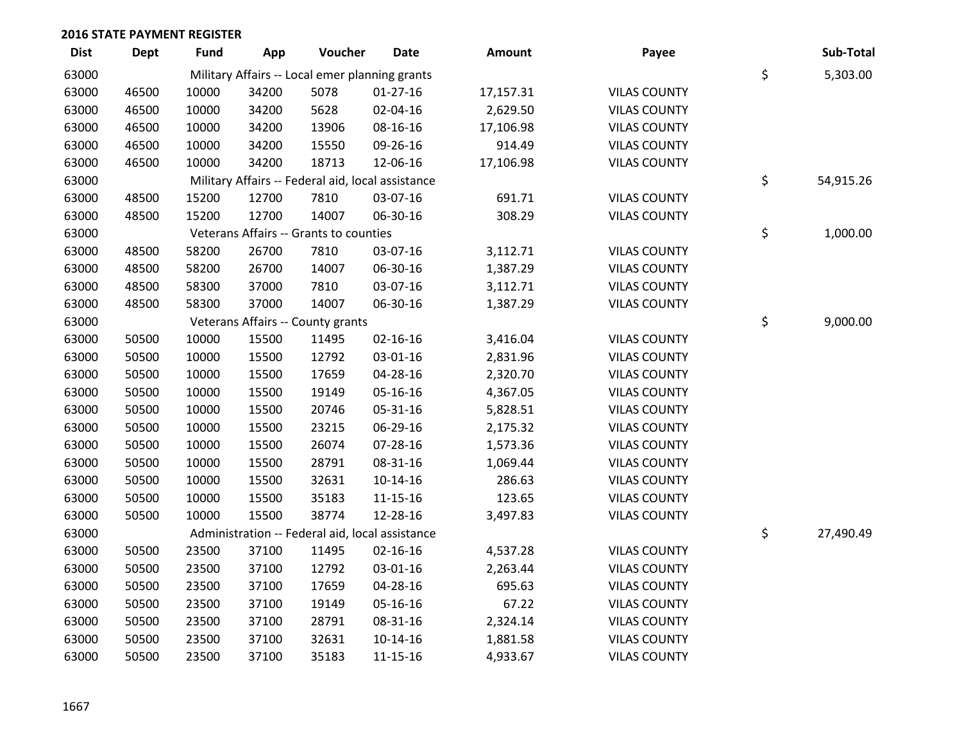| <b>Dist</b> | <b>Dept</b> | Fund  | App   | Voucher                                           | <b>Date</b>    | Amount    | Payee               | Sub-Total       |
|-------------|-------------|-------|-------|---------------------------------------------------|----------------|-----------|---------------------|-----------------|
| 63000       |             |       |       | Military Affairs -- Local emer planning grants    |                |           |                     | \$<br>5,303.00  |
| 63000       | 46500       | 10000 | 34200 | 5078                                              | $01-27-16$     | 17,157.31 | <b>VILAS COUNTY</b> |                 |
| 63000       | 46500       | 10000 | 34200 | 5628                                              | 02-04-16       | 2,629.50  | <b>VILAS COUNTY</b> |                 |
| 63000       | 46500       | 10000 | 34200 | 13906                                             | 08-16-16       | 17,106.98 | <b>VILAS COUNTY</b> |                 |
| 63000       | 46500       | 10000 | 34200 | 15550                                             | 09-26-16       | 914.49    | <b>VILAS COUNTY</b> |                 |
| 63000       | 46500       | 10000 | 34200 | 18713                                             | 12-06-16       | 17,106.98 | <b>VILAS COUNTY</b> |                 |
| 63000       |             |       |       | Military Affairs -- Federal aid, local assistance |                |           |                     | \$<br>54,915.26 |
| 63000       | 48500       | 15200 | 12700 | 7810                                              | 03-07-16       | 691.71    | <b>VILAS COUNTY</b> |                 |
| 63000       | 48500       | 15200 | 12700 | 14007                                             | 06-30-16       | 308.29    | <b>VILAS COUNTY</b> |                 |
| 63000       |             |       |       | Veterans Affairs -- Grants to counties            |                |           |                     | \$<br>1,000.00  |
| 63000       | 48500       | 58200 | 26700 | 7810                                              | 03-07-16       | 3,112.71  | <b>VILAS COUNTY</b> |                 |
| 63000       | 48500       | 58200 | 26700 | 14007                                             | 06-30-16       | 1,387.29  | <b>VILAS COUNTY</b> |                 |
| 63000       | 48500       | 58300 | 37000 | 7810                                              | 03-07-16       | 3,112.71  | <b>VILAS COUNTY</b> |                 |
| 63000       | 48500       | 58300 | 37000 | 14007                                             | 06-30-16       | 1,387.29  | <b>VILAS COUNTY</b> |                 |
| 63000       |             |       |       | Veterans Affairs -- County grants                 |                |           |                     | \$<br>9,000.00  |
| 63000       | 50500       | 10000 | 15500 | 11495                                             | $02 - 16 - 16$ | 3,416.04  | <b>VILAS COUNTY</b> |                 |
| 63000       | 50500       | 10000 | 15500 | 12792                                             | 03-01-16       | 2,831.96  | <b>VILAS COUNTY</b> |                 |
| 63000       | 50500       | 10000 | 15500 | 17659                                             | 04-28-16       | 2,320.70  | <b>VILAS COUNTY</b> |                 |
| 63000       | 50500       | 10000 | 15500 | 19149                                             | 05-16-16       | 4,367.05  | <b>VILAS COUNTY</b> |                 |
| 63000       | 50500       | 10000 | 15500 | 20746                                             | 05-31-16       | 5,828.51  | <b>VILAS COUNTY</b> |                 |
| 63000       | 50500       | 10000 | 15500 | 23215                                             | 06-29-16       | 2,175.32  | <b>VILAS COUNTY</b> |                 |
| 63000       | 50500       | 10000 | 15500 | 26074                                             | 07-28-16       | 1,573.36  | <b>VILAS COUNTY</b> |                 |
| 63000       | 50500       | 10000 | 15500 | 28791                                             | 08-31-16       | 1,069.44  | <b>VILAS COUNTY</b> |                 |
| 63000       | 50500       | 10000 | 15500 | 32631                                             | $10-14-16$     | 286.63    | <b>VILAS COUNTY</b> |                 |
| 63000       | 50500       | 10000 | 15500 | 35183                                             | $11 - 15 - 16$ | 123.65    | <b>VILAS COUNTY</b> |                 |
| 63000       | 50500       | 10000 | 15500 | 38774                                             | 12-28-16       | 3,497.83  | <b>VILAS COUNTY</b> |                 |
| 63000       |             |       |       | Administration -- Federal aid, local assistance   |                |           |                     | \$<br>27,490.49 |
| 63000       | 50500       | 23500 | 37100 | 11495                                             | $02 - 16 - 16$ | 4,537.28  | <b>VILAS COUNTY</b> |                 |
| 63000       | 50500       | 23500 | 37100 | 12792                                             | 03-01-16       | 2,263.44  | <b>VILAS COUNTY</b> |                 |
| 63000       | 50500       | 23500 | 37100 | 17659                                             | 04-28-16       | 695.63    | <b>VILAS COUNTY</b> |                 |
| 63000       | 50500       | 23500 | 37100 | 19149                                             | 05-16-16       | 67.22     | <b>VILAS COUNTY</b> |                 |
| 63000       | 50500       | 23500 | 37100 | 28791                                             | 08-31-16       | 2,324.14  | <b>VILAS COUNTY</b> |                 |
| 63000       | 50500       | 23500 | 37100 | 32631                                             | $10-14-16$     | 1,881.58  | <b>VILAS COUNTY</b> |                 |
| 63000       | 50500       | 23500 | 37100 | 35183                                             | 11-15-16       | 4,933.67  | <b>VILAS COUNTY</b> |                 |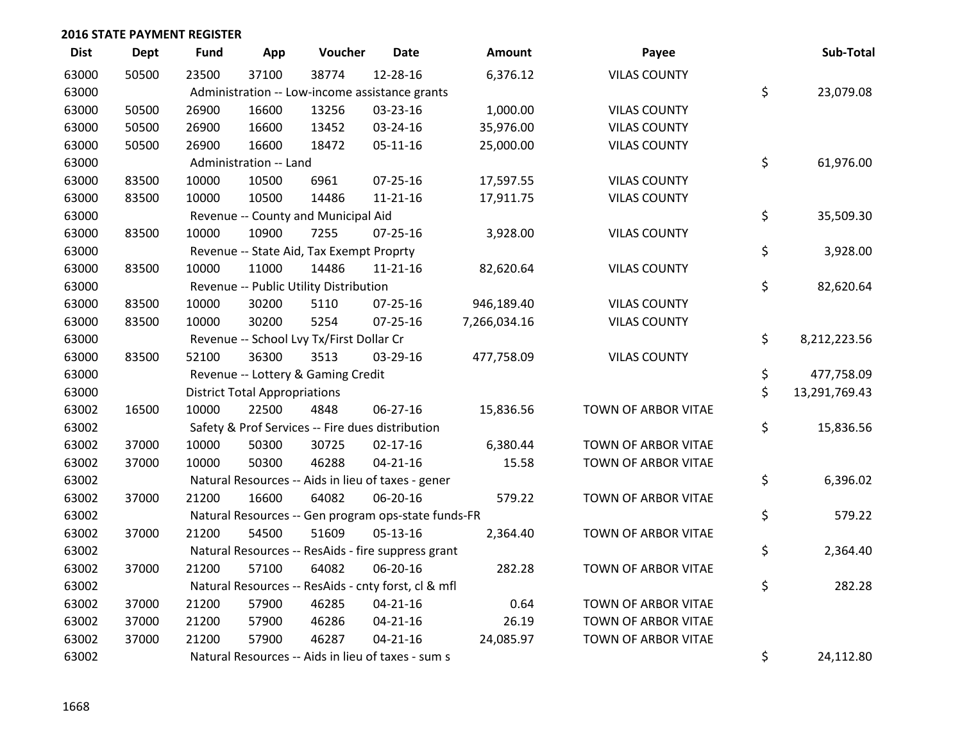| <b>Dist</b> | <b>Dept</b> | Fund  | App                                  | Voucher                                          | <b>Date</b>                                         | <b>Amount</b> | Payee               | Sub-Total           |
|-------------|-------------|-------|--------------------------------------|--------------------------------------------------|-----------------------------------------------------|---------------|---------------------|---------------------|
| 63000       | 50500       | 23500 | 37100                                | 38774                                            | 12-28-16                                            | 6,376.12      | <b>VILAS COUNTY</b> |                     |
| 63000       |             |       |                                      |                                                  | Administration -- Low-income assistance grants      |               |                     | \$<br>23,079.08     |
| 63000       | 50500       | 26900 | 16600                                | 13256                                            | 03-23-16                                            | 1,000.00      | <b>VILAS COUNTY</b> |                     |
| 63000       | 50500       | 26900 | 16600                                | 13452                                            | 03-24-16                                            | 35,976.00     | <b>VILAS COUNTY</b> |                     |
| 63000       | 50500       | 26900 | 16600                                | 18472                                            | $05-11-16$                                          | 25,000.00     | <b>VILAS COUNTY</b> |                     |
| 63000       |             |       | Administration -- Land               |                                                  |                                                     |               |                     | \$<br>61,976.00     |
| 63000       | 83500       | 10000 | 10500                                | 6961                                             | $07 - 25 - 16$                                      | 17,597.55     | <b>VILAS COUNTY</b> |                     |
| 63000       | 83500       | 10000 | 10500                                | 14486                                            | $11 - 21 - 16$                                      | 17,911.75     | <b>VILAS COUNTY</b> |                     |
| 63000       |             |       |                                      | Revenue -- County and Municipal Aid              |                                                     |               |                     | \$<br>35,509.30     |
| 63000       | 83500       | 10000 | 10900                                | 7255                                             | $07 - 25 - 16$                                      | 3,928.00      | <b>VILAS COUNTY</b> |                     |
| 63000       |             |       |                                      | Revenue -- State Aid, Tax Exempt Proprty         |                                                     |               |                     | \$<br>3,928.00      |
| 63000       | 83500       | 10000 | 11000                                | 14486                                            | $11 - 21 - 16$                                      | 82,620.64     | <b>VILAS COUNTY</b> |                     |
| 63000       |             |       |                                      | Revenue -- Public Utility Distribution           |                                                     |               |                     | \$<br>82,620.64     |
| 63000       | 83500       | 10000 | 30200                                | 5110                                             | 07-25-16                                            | 946,189.40    | <b>VILAS COUNTY</b> |                     |
| 63000       | 83500       | 10000 | 30200                                | 5254                                             | $07 - 25 - 16$                                      | 7,266,034.16  | <b>VILAS COUNTY</b> |                     |
| 63000       |             |       |                                      | Revenue -- School Lvy Tx/First Dollar Cr         |                                                     |               |                     | \$<br>8,212,223.56  |
| 63000       | 83500       | 52100 | 36300                                | 3513                                             | 03-29-16                                            | 477,758.09    | <b>VILAS COUNTY</b> |                     |
| 63000       |             |       |                                      | Revenue -- Lottery & Gaming Credit               |                                                     |               |                     | \$<br>477,758.09    |
| 63000       |             |       | <b>District Total Appropriations</b> |                                                  |                                                     |               |                     | \$<br>13,291,769.43 |
| 63002       | 16500       | 10000 | 22500                                | 4848                                             | $06 - 27 - 16$                                      | 15,836.56     | TOWN OF ARBOR VITAE |                     |
| 63002       |             |       |                                      | Safety & Prof Services -- Fire dues distribution |                                                     |               |                     | \$<br>15,836.56     |
| 63002       | 37000       | 10000 | 50300                                | 30725                                            | $02 - 17 - 16$                                      | 6,380.44      | TOWN OF ARBOR VITAE |                     |
| 63002       | 37000       | 10000 | 50300                                | 46288                                            | $04 - 21 - 16$                                      | 15.58         | TOWN OF ARBOR VITAE |                     |
| 63002       |             |       |                                      |                                                  | Natural Resources -- Aids in lieu of taxes - gener  |               |                     | \$<br>6,396.02      |
| 63002       | 37000       | 21200 | 16600                                | 64082                                            | 06-20-16                                            | 579.22        | TOWN OF ARBOR VITAE |                     |
| 63002       |             |       |                                      |                                                  | Natural Resources -- Gen program ops-state funds-FR |               |                     | \$<br>579.22        |
| 63002       | 37000       | 21200 | 54500                                | 51609                                            | 05-13-16                                            | 2,364.40      | TOWN OF ARBOR VITAE |                     |
| 63002       |             |       |                                      |                                                  | Natural Resources -- ResAids - fire suppress grant  |               |                     | \$<br>2,364.40      |
| 63002       | 37000       | 21200 | 57100                                | 64082                                            | 06-20-16                                            | 282.28        | TOWN OF ARBOR VITAE |                     |
| 63002       |             |       |                                      |                                                  | Natural Resources -- ResAids - cnty forst, cl & mfl |               |                     | \$<br>282.28        |
| 63002       | 37000       | 21200 | 57900                                | 46285                                            | $04 - 21 - 16$                                      | 0.64          | TOWN OF ARBOR VITAE |                     |
| 63002       | 37000       | 21200 | 57900                                | 46286                                            | $04 - 21 - 16$                                      | 26.19         | TOWN OF ARBOR VITAE |                     |
| 63002       | 37000       | 21200 | 57900                                | 46287                                            | $04 - 21 - 16$                                      | 24,085.97     | TOWN OF ARBOR VITAE |                     |
| 63002       |             |       |                                      |                                                  | Natural Resources -- Aids in lieu of taxes - sum s  |               |                     | \$<br>24,112.80     |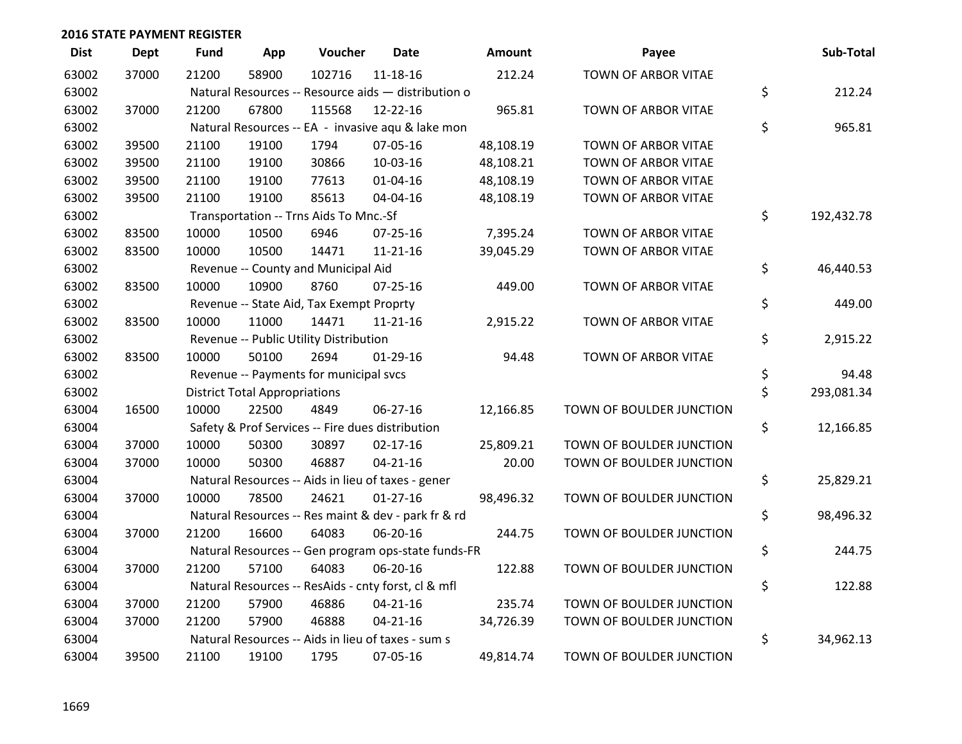| <b>Dist</b> | <b>Dept</b> | <b>Fund</b> | App                                  | Voucher                                             | <b>Date</b>    | Amount    | Payee                    | Sub-Total        |
|-------------|-------------|-------------|--------------------------------------|-----------------------------------------------------|----------------|-----------|--------------------------|------------------|
| 63002       | 37000       | 21200       | 58900                                | 102716                                              | 11-18-16       | 212.24    | TOWN OF ARBOR VITAE      |                  |
| 63002       |             |             |                                      | Natural Resources -- Resource aids - distribution o |                |           |                          | \$<br>212.24     |
| 63002       | 37000       | 21200       | 67800                                | 115568                                              | 12-22-16       | 965.81    | TOWN OF ARBOR VITAE      |                  |
| 63002       |             |             |                                      | Natural Resources -- EA - invasive aqu & lake mon   |                |           |                          | \$<br>965.81     |
| 63002       | 39500       | 21100       | 19100                                | 1794                                                | 07-05-16       | 48,108.19 | TOWN OF ARBOR VITAE      |                  |
| 63002       | 39500       | 21100       | 19100                                | 30866                                               | 10-03-16       | 48,108.21 | TOWN OF ARBOR VITAE      |                  |
| 63002       | 39500       | 21100       | 19100                                | 77613                                               | $01 - 04 - 16$ | 48,108.19 | TOWN OF ARBOR VITAE      |                  |
| 63002       | 39500       | 21100       | 19100                                | 85613                                               | 04-04-16       | 48,108.19 | TOWN OF ARBOR VITAE      |                  |
| 63002       |             |             |                                      | Transportation -- Trns Aids To Mnc.-Sf              |                |           |                          | \$<br>192,432.78 |
| 63002       | 83500       | 10000       | 10500                                | 6946                                                | $07 - 25 - 16$ | 7,395.24  | TOWN OF ARBOR VITAE      |                  |
| 63002       | 83500       | 10000       | 10500                                | 14471                                               | 11-21-16       | 39,045.29 | TOWN OF ARBOR VITAE      |                  |
| 63002       |             |             |                                      | Revenue -- County and Municipal Aid                 |                |           |                          | \$<br>46,440.53  |
| 63002       | 83500       | 10000       | 10900                                | 8760                                                | $07 - 25 - 16$ | 449.00    | TOWN OF ARBOR VITAE      |                  |
| 63002       |             |             |                                      | Revenue -- State Aid, Tax Exempt Proprty            |                |           |                          | \$<br>449.00     |
| 63002       | 83500       | 10000       | 11000                                | 14471                                               | $11 - 21 - 16$ | 2,915.22  | TOWN OF ARBOR VITAE      |                  |
| 63002       |             |             |                                      | Revenue -- Public Utility Distribution              |                |           |                          | \$<br>2,915.22   |
| 63002       | 83500       | 10000       | 50100                                | 2694                                                | $01-29-16$     | 94.48     | TOWN OF ARBOR VITAE      |                  |
| 63002       |             |             |                                      | Revenue -- Payments for municipal svcs              |                |           |                          | \$<br>94.48      |
| 63002       |             |             | <b>District Total Appropriations</b> |                                                     |                |           |                          | \$<br>293,081.34 |
| 63004       | 16500       | 10000       | 22500                                | 4849                                                | $06 - 27 - 16$ | 12,166.85 | TOWN OF BOULDER JUNCTION |                  |
| 63004       |             |             |                                      | Safety & Prof Services -- Fire dues distribution    |                |           |                          | \$<br>12,166.85  |
| 63004       | 37000       | 10000       | 50300                                | 30897                                               | $02 - 17 - 16$ | 25,809.21 | TOWN OF BOULDER JUNCTION |                  |
| 63004       | 37000       | 10000       | 50300                                | 46887                                               | $04 - 21 - 16$ | 20.00     | TOWN OF BOULDER JUNCTION |                  |
| 63004       |             |             |                                      | Natural Resources -- Aids in lieu of taxes - gener  |                |           |                          | \$<br>25,829.21  |
| 63004       | 37000       | 10000       | 78500                                | 24621                                               | $01 - 27 - 16$ | 98,496.32 | TOWN OF BOULDER JUNCTION |                  |
| 63004       |             |             |                                      | Natural Resources -- Res maint & dev - park fr & rd |                |           |                          | \$<br>98,496.32  |
| 63004       | 37000       | 21200       | 16600                                | 64083                                               | 06-20-16       | 244.75    | TOWN OF BOULDER JUNCTION |                  |
| 63004       |             |             |                                      | Natural Resources -- Gen program ops-state funds-FR |                |           |                          | \$<br>244.75     |
| 63004       | 37000       | 21200       | 57100                                | 64083                                               | 06-20-16       | 122.88    | TOWN OF BOULDER JUNCTION |                  |
| 63004       |             |             |                                      | Natural Resources -- ResAids - cnty forst, cl & mfl |                |           |                          | \$<br>122.88     |
| 63004       | 37000       | 21200       | 57900                                | 46886                                               | $04 - 21 - 16$ | 235.74    | TOWN OF BOULDER JUNCTION |                  |
| 63004       | 37000       | 21200       | 57900                                | 46888                                               | $04 - 21 - 16$ | 34,726.39 | TOWN OF BOULDER JUNCTION |                  |
| 63004       |             |             |                                      | Natural Resources -- Aids in lieu of taxes - sum s  |                |           |                          | \$<br>34,962.13  |
| 63004       | 39500       | 21100       | 19100                                | 1795                                                | 07-05-16       | 49,814.74 | TOWN OF BOULDER JUNCTION |                  |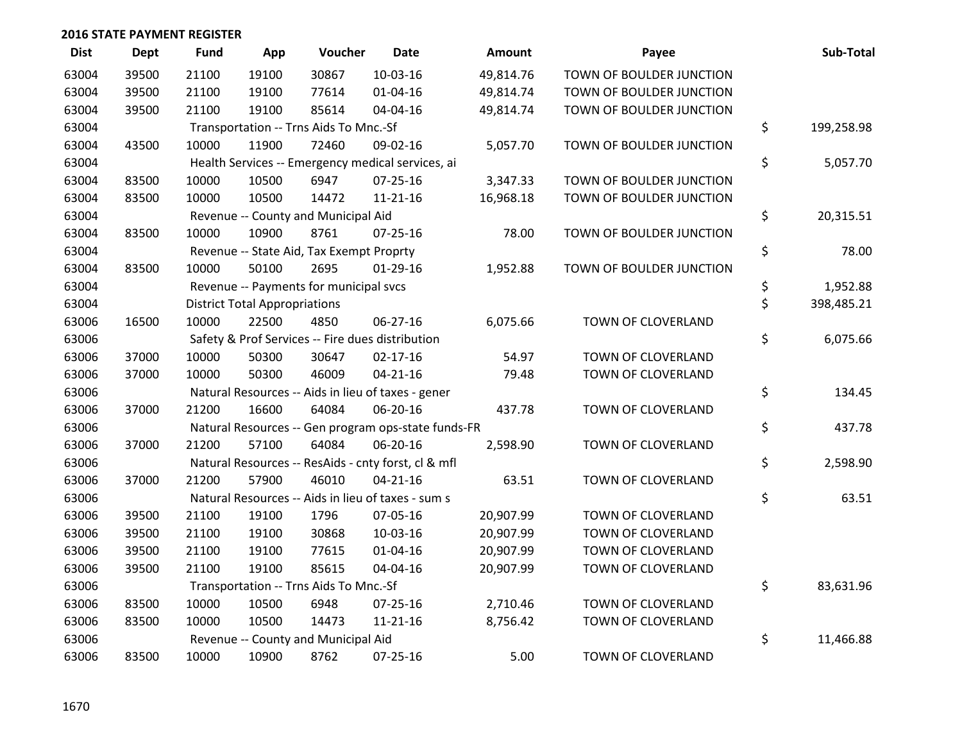| <b>Dist</b> | <b>Dept</b> | <b>Fund</b> | App                                  | Voucher                                             | <b>Date</b>    | <b>Amount</b> | Payee                    | Sub-Total        |
|-------------|-------------|-------------|--------------------------------------|-----------------------------------------------------|----------------|---------------|--------------------------|------------------|
| 63004       | 39500       | 21100       | 19100                                | 30867                                               | 10-03-16       | 49,814.76     | TOWN OF BOULDER JUNCTION |                  |
| 63004       | 39500       | 21100       | 19100                                | 77614                                               | $01 - 04 - 16$ | 49,814.74     | TOWN OF BOULDER JUNCTION |                  |
| 63004       | 39500       | 21100       | 19100                                | 85614                                               | 04-04-16       | 49,814.74     | TOWN OF BOULDER JUNCTION |                  |
| 63004       |             |             |                                      | Transportation -- Trns Aids To Mnc.-Sf              |                |               |                          | \$<br>199,258.98 |
| 63004       | 43500       | 10000       | 11900                                | 72460                                               | 09-02-16       | 5,057.70      | TOWN OF BOULDER JUNCTION |                  |
| 63004       |             |             |                                      | Health Services -- Emergency medical services, ai   |                |               |                          | \$<br>5,057.70   |
| 63004       | 83500       | 10000       | 10500                                | 6947                                                | $07 - 25 - 16$ | 3,347.33      | TOWN OF BOULDER JUNCTION |                  |
| 63004       | 83500       | 10000       | 10500                                | 14472                                               | $11 - 21 - 16$ | 16,968.18     | TOWN OF BOULDER JUNCTION |                  |
| 63004       |             |             |                                      | Revenue -- County and Municipal Aid                 |                |               |                          | \$<br>20,315.51  |
| 63004       | 83500       | 10000       | 10900                                | 8761                                                | 07-25-16       | 78.00         | TOWN OF BOULDER JUNCTION |                  |
| 63004       |             |             |                                      | Revenue -- State Aid, Tax Exempt Proprty            |                |               |                          | \$<br>78.00      |
| 63004       | 83500       | 10000       | 50100                                | 2695                                                | $01-29-16$     | 1,952.88      | TOWN OF BOULDER JUNCTION |                  |
| 63004       |             |             |                                      | Revenue -- Payments for municipal svcs              |                |               |                          | \$<br>1,952.88   |
| 63004       |             |             | <b>District Total Appropriations</b> |                                                     |                |               |                          | \$<br>398,485.21 |
| 63006       | 16500       | 10000       | 22500                                | 4850                                                | $06 - 27 - 16$ | 6,075.66      | TOWN OF CLOVERLAND       |                  |
| 63006       |             |             |                                      | Safety & Prof Services -- Fire dues distribution    |                |               |                          | \$<br>6,075.66   |
| 63006       | 37000       | 10000       | 50300                                | 30647                                               | $02 - 17 - 16$ | 54.97         | TOWN OF CLOVERLAND       |                  |
| 63006       | 37000       | 10000       | 50300                                | 46009                                               | $04 - 21 - 16$ | 79.48         | TOWN OF CLOVERLAND       |                  |
| 63006       |             |             |                                      | Natural Resources -- Aids in lieu of taxes - gener  |                |               |                          | \$<br>134.45     |
| 63006       | 37000       | 21200       | 16600                                | 64084                                               | 06-20-16       | 437.78        | TOWN OF CLOVERLAND       |                  |
| 63006       |             |             |                                      | Natural Resources -- Gen program ops-state funds-FR |                |               |                          | \$<br>437.78     |
| 63006       | 37000       | 21200       | 57100                                | 64084                                               | 06-20-16       | 2,598.90      | TOWN OF CLOVERLAND       |                  |
| 63006       |             |             |                                      | Natural Resources -- ResAids - cnty forst, cl & mfl |                |               |                          | \$<br>2,598.90   |
| 63006       | 37000       | 21200       | 57900                                | 46010                                               | $04 - 21 - 16$ | 63.51         | TOWN OF CLOVERLAND       |                  |
| 63006       |             |             |                                      | Natural Resources -- Aids in lieu of taxes - sum s  |                |               |                          | \$<br>63.51      |
| 63006       | 39500       | 21100       | 19100                                | 1796                                                | 07-05-16       | 20,907.99     | TOWN OF CLOVERLAND       |                  |
| 63006       | 39500       | 21100       | 19100                                | 30868                                               | 10-03-16       | 20,907.99     | TOWN OF CLOVERLAND       |                  |
| 63006       | 39500       | 21100       | 19100                                | 77615                                               | $01 - 04 - 16$ | 20,907.99     | TOWN OF CLOVERLAND       |                  |
| 63006       | 39500       | 21100       | 19100                                | 85615                                               | 04-04-16       | 20,907.99     | TOWN OF CLOVERLAND       |                  |
| 63006       |             |             |                                      | Transportation -- Trns Aids To Mnc.-Sf              |                |               |                          | \$<br>83,631.96  |
| 63006       | 83500       | 10000       | 10500                                | 6948                                                | 07-25-16       | 2,710.46      | TOWN OF CLOVERLAND       |                  |
| 63006       | 83500       | 10000       | 10500                                | 14473                                               | $11 - 21 - 16$ | 8,756.42      | TOWN OF CLOVERLAND       |                  |
| 63006       |             |             |                                      | Revenue -- County and Municipal Aid                 |                |               |                          | \$<br>11,466.88  |
| 63006       | 83500       | 10000       | 10900                                | 8762                                                | $07 - 25 - 16$ | 5.00          | TOWN OF CLOVERLAND       |                  |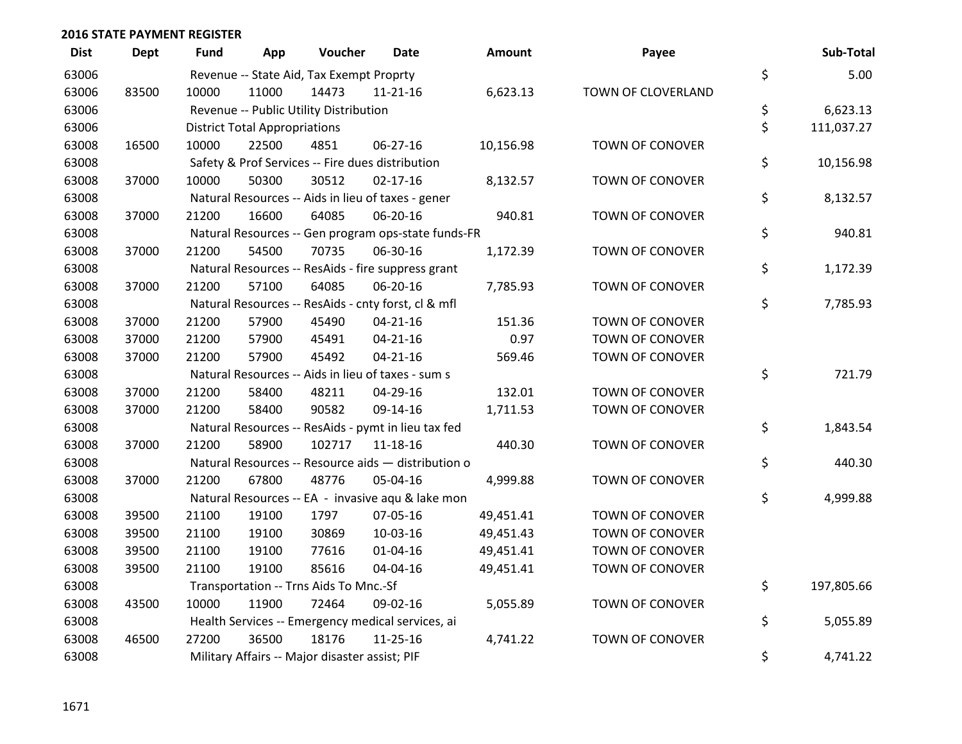| <b>Dist</b> | <b>Dept</b> | <b>Fund</b> | App                                  | Voucher                                             | Date           | <b>Amount</b> | Payee                  | Sub-Total        |
|-------------|-------------|-------------|--------------------------------------|-----------------------------------------------------|----------------|---------------|------------------------|------------------|
| 63006       |             |             |                                      | Revenue -- State Aid, Tax Exempt Proprty            |                |               |                        | \$<br>5.00       |
| 63006       | 83500       | 10000       | 11000                                | 14473                                               | 11-21-16       | 6,623.13      | TOWN OF CLOVERLAND     |                  |
| 63006       |             |             |                                      | Revenue -- Public Utility Distribution              |                |               |                        | \$<br>6,623.13   |
| 63006       |             |             | <b>District Total Appropriations</b> |                                                     |                |               |                        | \$<br>111,037.27 |
| 63008       | 16500       | 10000       | 22500                                | 4851                                                | 06-27-16       | 10,156.98     | TOWN OF CONOVER        |                  |
| 63008       |             |             |                                      | Safety & Prof Services -- Fire dues distribution    |                |               |                        | \$<br>10,156.98  |
| 63008       | 37000       | 10000       | 50300                                | 30512                                               | $02 - 17 - 16$ | 8,132.57      | <b>TOWN OF CONOVER</b> |                  |
| 63008       |             |             |                                      | Natural Resources -- Aids in lieu of taxes - gener  |                |               |                        | \$<br>8,132.57   |
| 63008       | 37000       | 21200       | 16600                                | 64085                                               | 06-20-16       | 940.81        | TOWN OF CONOVER        |                  |
| 63008       |             |             |                                      | Natural Resources -- Gen program ops-state funds-FR |                |               |                        | \$<br>940.81     |
| 63008       | 37000       | 21200       | 54500                                | 70735                                               | 06-30-16       | 1,172.39      | TOWN OF CONOVER        |                  |
| 63008       |             |             |                                      | Natural Resources -- ResAids - fire suppress grant  |                |               |                        | \$<br>1,172.39   |
| 63008       | 37000       | 21200       | 57100                                | 64085                                               | 06-20-16       | 7,785.93      | TOWN OF CONOVER        |                  |
| 63008       |             |             |                                      | Natural Resources -- ResAids - cnty forst, cl & mfl |                |               |                        | \$<br>7,785.93   |
| 63008       | 37000       | 21200       | 57900                                | 45490                                               | $04 - 21 - 16$ | 151.36        | TOWN OF CONOVER        |                  |
| 63008       | 37000       | 21200       | 57900                                | 45491                                               | $04 - 21 - 16$ | 0.97          | <b>TOWN OF CONOVER</b> |                  |
| 63008       | 37000       | 21200       | 57900                                | 45492                                               | $04 - 21 - 16$ | 569.46        | TOWN OF CONOVER        |                  |
| 63008       |             |             |                                      | Natural Resources -- Aids in lieu of taxes - sum s  |                |               |                        | \$<br>721.79     |
| 63008       | 37000       | 21200       | 58400                                | 48211                                               | 04-29-16       | 132.01        | TOWN OF CONOVER        |                  |
| 63008       | 37000       | 21200       | 58400                                | 90582                                               | 09-14-16       | 1,711.53      | <b>TOWN OF CONOVER</b> |                  |
| 63008       |             |             |                                      | Natural Resources -- ResAids - pymt in lieu tax fed |                |               |                        | \$<br>1,843.54   |
| 63008       | 37000       | 21200       | 58900                                | 102717                                              | 11-18-16       | 440.30        | TOWN OF CONOVER        |                  |
| 63008       |             |             |                                      | Natural Resources -- Resource aids - distribution o |                |               |                        | \$<br>440.30     |
| 63008       | 37000       | 21200       | 67800                                | 48776                                               | 05-04-16       | 4,999.88      | <b>TOWN OF CONOVER</b> |                  |
| 63008       |             |             |                                      | Natural Resources -- EA - invasive aqu & lake mon   |                |               |                        | \$<br>4,999.88   |
| 63008       | 39500       | 21100       | 19100                                | 1797                                                | 07-05-16       | 49,451.41     | TOWN OF CONOVER        |                  |
| 63008       | 39500       | 21100       | 19100                                | 30869                                               | 10-03-16       | 49,451.43     | <b>TOWN OF CONOVER</b> |                  |
| 63008       | 39500       | 21100       | 19100                                | 77616                                               | $01 - 04 - 16$ | 49,451.41     | <b>TOWN OF CONOVER</b> |                  |
| 63008       | 39500       | 21100       | 19100                                | 85616                                               | 04-04-16       | 49,451.41     | TOWN OF CONOVER        |                  |
| 63008       |             |             |                                      | Transportation -- Trns Aids To Mnc.-Sf              |                |               |                        | \$<br>197,805.66 |
| 63008       | 43500       | 10000       | 11900                                | 72464                                               | 09-02-16       | 5,055.89      | TOWN OF CONOVER        |                  |
| 63008       |             |             |                                      | Health Services -- Emergency medical services, ai   |                |               |                        | \$<br>5,055.89   |
| 63008       | 46500       | 27200       | 36500                                | 18176                                               | 11-25-16       | 4,741.22      | <b>TOWN OF CONOVER</b> |                  |
| 63008       |             |             |                                      | Military Affairs -- Major disaster assist; PIF      |                |               |                        | \$<br>4,741.22   |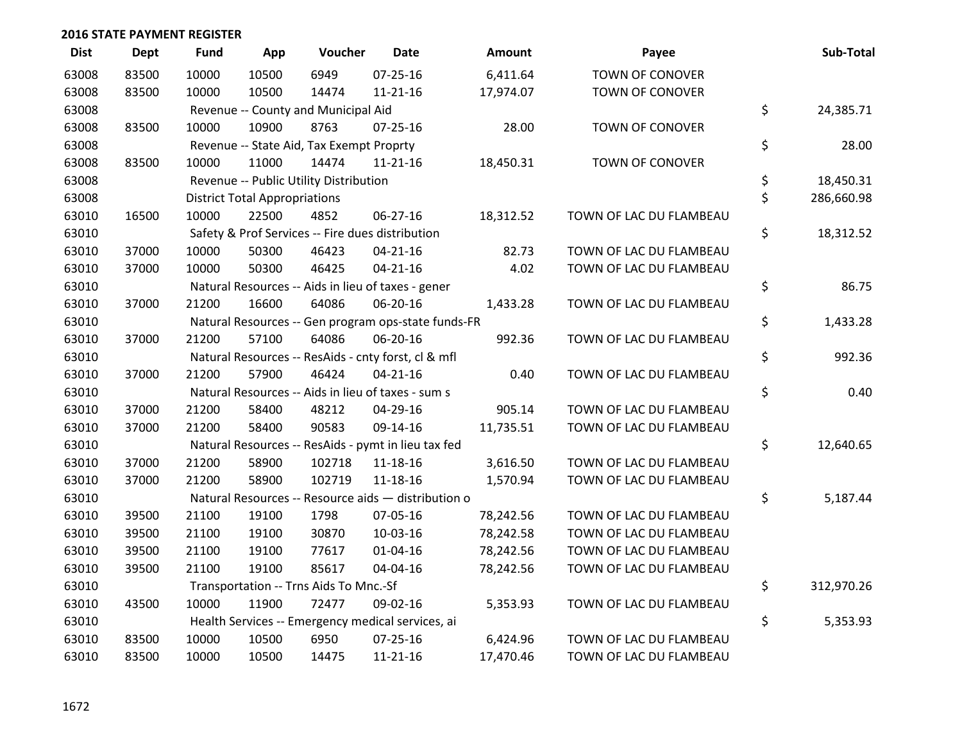| <b>Dist</b> | <b>Dept</b> | <b>Fund</b> | App                                  | Voucher                                  | <b>Date</b>                                         | <b>Amount</b> | Payee                   | Sub-Total        |
|-------------|-------------|-------------|--------------------------------------|------------------------------------------|-----------------------------------------------------|---------------|-------------------------|------------------|
| 63008       | 83500       | 10000       | 10500                                | 6949                                     | $07 - 25 - 16$                                      | 6,411.64      | <b>TOWN OF CONOVER</b>  |                  |
| 63008       | 83500       | 10000       | 10500                                | 14474                                    | $11 - 21 - 16$                                      | 17,974.07     | TOWN OF CONOVER         |                  |
| 63008       |             |             |                                      | Revenue -- County and Municipal Aid      |                                                     |               |                         | \$<br>24,385.71  |
| 63008       | 83500       | 10000       | 10900                                | 8763                                     | $07 - 25 - 16$                                      | 28.00         | TOWN OF CONOVER         |                  |
| 63008       |             |             |                                      | Revenue -- State Aid, Tax Exempt Proprty |                                                     |               |                         | \$<br>28.00      |
| 63008       | 83500       | 10000       | 11000                                | 14474                                    | $11 - 21 - 16$                                      | 18,450.31     | TOWN OF CONOVER         |                  |
| 63008       |             |             |                                      | Revenue -- Public Utility Distribution   |                                                     |               |                         | \$<br>18,450.31  |
| 63008       |             |             | <b>District Total Appropriations</b> |                                          |                                                     |               |                         | \$<br>286,660.98 |
| 63010       | 16500       | 10000       | 22500                                | 4852                                     | 06-27-16                                            | 18,312.52     | TOWN OF LAC DU FLAMBEAU |                  |
| 63010       |             |             |                                      |                                          | Safety & Prof Services -- Fire dues distribution    |               |                         | \$<br>18,312.52  |
| 63010       | 37000       | 10000       | 50300                                | 46423                                    | $04 - 21 - 16$                                      | 82.73         | TOWN OF LAC DU FLAMBEAU |                  |
| 63010       | 37000       | 10000       | 50300                                | 46425                                    | $04 - 21 - 16$                                      | 4.02          | TOWN OF LAC DU FLAMBEAU |                  |
| 63010       |             |             |                                      |                                          | Natural Resources -- Aids in lieu of taxes - gener  |               |                         | \$<br>86.75      |
| 63010       | 37000       | 21200       | 16600                                | 64086                                    | 06-20-16                                            | 1,433.28      | TOWN OF LAC DU FLAMBEAU |                  |
| 63010       |             |             |                                      |                                          | Natural Resources -- Gen program ops-state funds-FR |               |                         | \$<br>1,433.28   |
| 63010       | 37000       | 21200       | 57100                                | 64086                                    | 06-20-16                                            | 992.36        | TOWN OF LAC DU FLAMBEAU |                  |
| 63010       |             |             |                                      |                                          | Natural Resources -- ResAids - cnty forst, cl & mfl |               |                         | \$<br>992.36     |
| 63010       | 37000       | 21200       | 57900                                | 46424                                    | $04 - 21 - 16$                                      | 0.40          | TOWN OF LAC DU FLAMBEAU |                  |
| 63010       |             |             |                                      |                                          | Natural Resources -- Aids in lieu of taxes - sum s  |               |                         | \$<br>0.40       |
| 63010       | 37000       | 21200       | 58400                                | 48212                                    | 04-29-16                                            | 905.14        | TOWN OF LAC DU FLAMBEAU |                  |
| 63010       | 37000       | 21200       | 58400                                | 90583                                    | 09-14-16                                            | 11,735.51     | TOWN OF LAC DU FLAMBEAU |                  |
| 63010       |             |             |                                      |                                          | Natural Resources -- ResAids - pymt in lieu tax fed |               |                         | \$<br>12,640.65  |
| 63010       | 37000       | 21200       | 58900                                | 102718                                   | 11-18-16                                            | 3,616.50      | TOWN OF LAC DU FLAMBEAU |                  |
| 63010       | 37000       | 21200       | 58900                                | 102719                                   | $11 - 18 - 16$                                      | 1,570.94      | TOWN OF LAC DU FLAMBEAU |                  |
| 63010       |             |             |                                      |                                          | Natural Resources -- Resource aids - distribution o |               |                         | \$<br>5,187.44   |
| 63010       | 39500       | 21100       | 19100                                | 1798                                     | 07-05-16                                            | 78,242.56     | TOWN OF LAC DU FLAMBEAU |                  |
| 63010       | 39500       | 21100       | 19100                                | 30870                                    | 10-03-16                                            | 78,242.58     | TOWN OF LAC DU FLAMBEAU |                  |
| 63010       | 39500       | 21100       | 19100                                | 77617                                    | $01 - 04 - 16$                                      | 78,242.56     | TOWN OF LAC DU FLAMBEAU |                  |
| 63010       | 39500       | 21100       | 19100                                | 85617                                    | 04-04-16                                            | 78,242.56     | TOWN OF LAC DU FLAMBEAU |                  |
| 63010       |             |             |                                      | Transportation -- Trns Aids To Mnc.-Sf   |                                                     |               |                         | \$<br>312,970.26 |
| 63010       | 43500       | 10000       | 11900                                | 72477                                    | 09-02-16                                            | 5,353.93      | TOWN OF LAC DU FLAMBEAU |                  |
| 63010       |             |             |                                      |                                          | Health Services -- Emergency medical services, ai   |               |                         | \$<br>5,353.93   |
| 63010       | 83500       | 10000       | 10500                                | 6950                                     | 07-25-16                                            | 6,424.96      | TOWN OF LAC DU FLAMBEAU |                  |
| 63010       | 83500       | 10000       | 10500                                | 14475                                    | $11 - 21 - 16$                                      | 17,470.46     | TOWN OF LAC DU FLAMBEAU |                  |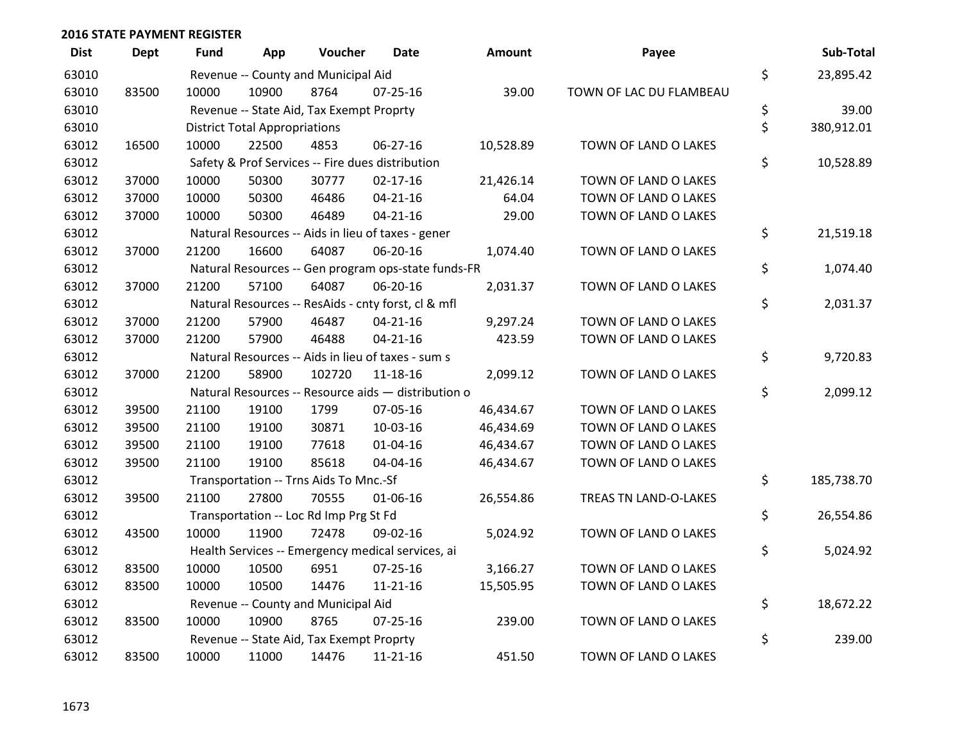| <b>Dist</b> | <b>Dept</b> | Fund  | App                                  | Voucher                                  | <b>Date</b>                                         | <b>Amount</b> | Payee                   | Sub-Total        |
|-------------|-------------|-------|--------------------------------------|------------------------------------------|-----------------------------------------------------|---------------|-------------------------|------------------|
| 63010       |             |       |                                      | Revenue -- County and Municipal Aid      |                                                     |               |                         | \$<br>23,895.42  |
| 63010       | 83500       | 10000 | 10900                                | 8764                                     | $07 - 25 - 16$                                      | 39.00         | TOWN OF LAC DU FLAMBEAU |                  |
| 63010       |             |       |                                      | Revenue -- State Aid, Tax Exempt Proprty |                                                     |               |                         | \$<br>39.00      |
| 63010       |             |       | <b>District Total Appropriations</b> |                                          |                                                     |               |                         | \$<br>380,912.01 |
| 63012       | 16500       | 10000 | 22500                                | 4853                                     | 06-27-16                                            | 10,528.89     | TOWN OF LAND O LAKES    |                  |
| 63012       |             |       |                                      |                                          | Safety & Prof Services -- Fire dues distribution    |               |                         | \$<br>10,528.89  |
| 63012       | 37000       | 10000 | 50300                                | 30777                                    | $02 - 17 - 16$                                      | 21,426.14     | TOWN OF LAND O LAKES    |                  |
| 63012       | 37000       | 10000 | 50300                                | 46486                                    | $04 - 21 - 16$                                      | 64.04         | TOWN OF LAND O LAKES    |                  |
| 63012       | 37000       | 10000 | 50300                                | 46489                                    | $04 - 21 - 16$                                      | 29.00         | TOWN OF LAND O LAKES    |                  |
| 63012       |             |       |                                      |                                          | Natural Resources -- Aids in lieu of taxes - gener  |               |                         | \$<br>21,519.18  |
| 63012       | 37000       | 21200 | 16600                                | 64087                                    | 06-20-16                                            | 1,074.40      | TOWN OF LAND O LAKES    |                  |
| 63012       |             |       |                                      |                                          | Natural Resources -- Gen program ops-state funds-FR |               |                         | \$<br>1,074.40   |
| 63012       | 37000       | 21200 | 57100                                | 64087                                    | 06-20-16                                            | 2,031.37      | TOWN OF LAND O LAKES    |                  |
| 63012       |             |       |                                      |                                          | Natural Resources -- ResAids - cnty forst, cl & mfl |               |                         | \$<br>2,031.37   |
| 63012       | 37000       | 21200 | 57900                                | 46487                                    | $04 - 21 - 16$                                      | 9,297.24      | TOWN OF LAND O LAKES    |                  |
| 63012       | 37000       | 21200 | 57900                                | 46488                                    | $04 - 21 - 16$                                      | 423.59        | TOWN OF LAND O LAKES    |                  |
| 63012       |             |       |                                      |                                          | Natural Resources -- Aids in lieu of taxes - sum s  |               |                         | \$<br>9,720.83   |
| 63012       | 37000       | 21200 | 58900                                | 102720                                   | $11 - 18 - 16$                                      | 2,099.12      | TOWN OF LAND O LAKES    |                  |
| 63012       |             |       |                                      |                                          | Natural Resources -- Resource aids - distribution o |               |                         | \$<br>2,099.12   |
| 63012       | 39500       | 21100 | 19100                                | 1799                                     | 07-05-16                                            | 46,434.67     | TOWN OF LAND O LAKES    |                  |
| 63012       | 39500       | 21100 | 19100                                | 30871                                    | 10-03-16                                            | 46,434.69     | TOWN OF LAND O LAKES    |                  |
| 63012       | 39500       | 21100 | 19100                                | 77618                                    | $01 - 04 - 16$                                      | 46,434.67     | TOWN OF LAND O LAKES    |                  |
| 63012       | 39500       | 21100 | 19100                                | 85618                                    | 04-04-16                                            | 46,434.67     | TOWN OF LAND O LAKES    |                  |
| 63012       |             |       |                                      | Transportation -- Trns Aids To Mnc.-Sf   |                                                     |               |                         | \$<br>185,738.70 |
| 63012       | 39500       | 21100 | 27800                                | 70555                                    | 01-06-16                                            | 26,554.86     | TREAS TN LAND-O-LAKES   |                  |
| 63012       |             |       |                                      | Transportation -- Loc Rd Imp Prg St Fd   |                                                     |               |                         | \$<br>26,554.86  |
| 63012       | 43500       | 10000 | 11900                                | 72478                                    | 09-02-16                                            | 5,024.92      | TOWN OF LAND O LAKES    |                  |
| 63012       |             |       |                                      |                                          | Health Services -- Emergency medical services, ai   |               |                         | \$<br>5,024.92   |
| 63012       | 83500       | 10000 | 10500                                | 6951                                     | $07 - 25 - 16$                                      | 3,166.27      | TOWN OF LAND O LAKES    |                  |
| 63012       | 83500       | 10000 | 10500                                | 14476                                    | $11 - 21 - 16$                                      | 15,505.95     | TOWN OF LAND O LAKES    |                  |
| 63012       |             |       |                                      | Revenue -- County and Municipal Aid      |                                                     |               |                         | \$<br>18,672.22  |
| 63012       | 83500       | 10000 | 10900                                | 8765                                     | $07 - 25 - 16$                                      | 239.00        | TOWN OF LAND O LAKES    |                  |
| 63012       |             |       |                                      | Revenue -- State Aid, Tax Exempt Proprty |                                                     |               |                         | \$<br>239.00     |
| 63012       | 83500       | 10000 | 11000                                | 14476                                    | $11 - 21 - 16$                                      | 451.50        | TOWN OF LAND O LAKES    |                  |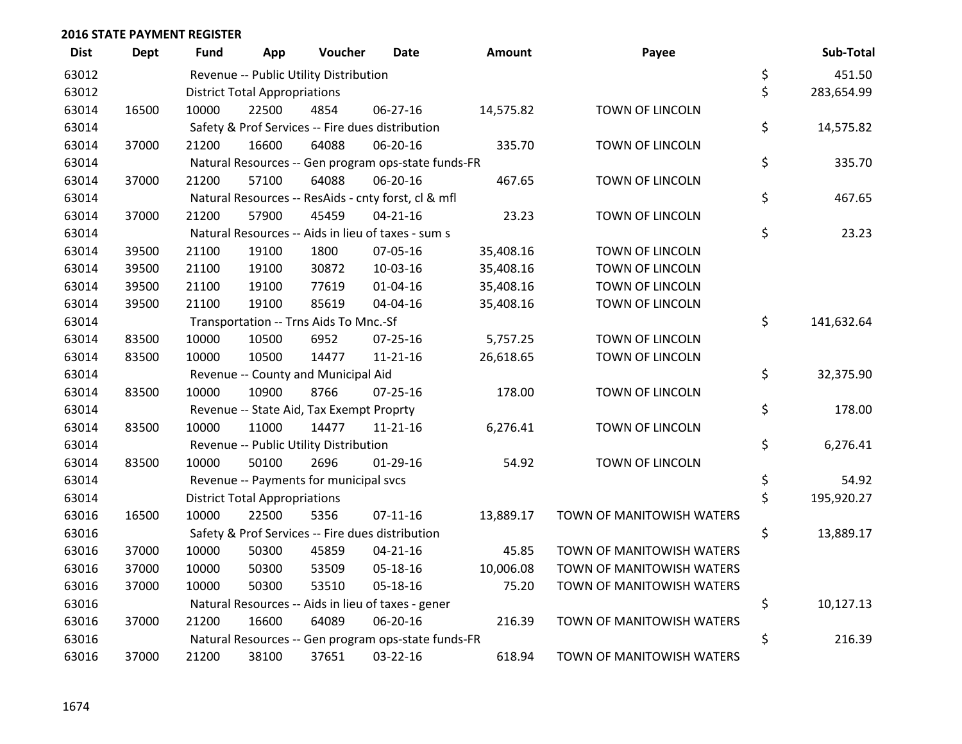| <b>Dist</b> | <b>Dept</b> | <b>Fund</b> | App                                  | Voucher                                             | <b>Date</b>    | Amount    | Payee                     | Sub-Total        |
|-------------|-------------|-------------|--------------------------------------|-----------------------------------------------------|----------------|-----------|---------------------------|------------------|
| 63012       |             |             |                                      | Revenue -- Public Utility Distribution              |                |           |                           | \$<br>451.50     |
| 63012       |             |             | <b>District Total Appropriations</b> |                                                     |                |           |                           | \$<br>283,654.99 |
| 63014       | 16500       | 10000       | 22500                                | 4854                                                | 06-27-16       | 14,575.82 | TOWN OF LINCOLN           |                  |
| 63014       |             |             |                                      | Safety & Prof Services -- Fire dues distribution    |                |           |                           | \$<br>14,575.82  |
| 63014       | 37000       | 21200       | 16600                                | 64088                                               | 06-20-16       | 335.70    | TOWN OF LINCOLN           |                  |
| 63014       |             |             |                                      | Natural Resources -- Gen program ops-state funds-FR |                |           |                           | \$<br>335.70     |
| 63014       | 37000       | 21200       | 57100                                | 64088                                               | 06-20-16       | 467.65    | TOWN OF LINCOLN           |                  |
| 63014       |             |             |                                      | Natural Resources -- ResAids - cnty forst, cl & mfl |                |           |                           | \$<br>467.65     |
| 63014       | 37000       | 21200       | 57900                                | 45459                                               | $04 - 21 - 16$ | 23.23     | <b>TOWN OF LINCOLN</b>    |                  |
| 63014       |             |             |                                      | Natural Resources -- Aids in lieu of taxes - sum s  |                |           |                           | \$<br>23.23      |
| 63014       | 39500       | 21100       | 19100                                | 1800                                                | 07-05-16       | 35,408.16 | TOWN OF LINCOLN           |                  |
| 63014       | 39500       | 21100       | 19100                                | 30872                                               | 10-03-16       | 35,408.16 | TOWN OF LINCOLN           |                  |
| 63014       | 39500       | 21100       | 19100                                | 77619                                               | $01 - 04 - 16$ | 35,408.16 | TOWN OF LINCOLN           |                  |
| 63014       | 39500       | 21100       | 19100                                | 85619                                               | 04-04-16       | 35,408.16 | TOWN OF LINCOLN           |                  |
| 63014       |             |             |                                      | Transportation -- Trns Aids To Mnc.-Sf              |                |           |                           | \$<br>141,632.64 |
| 63014       | 83500       | 10000       | 10500                                | 6952                                                | $07 - 25 - 16$ | 5,757.25  | TOWN OF LINCOLN           |                  |
| 63014       | 83500       | 10000       | 10500                                | 14477                                               | $11 - 21 - 16$ | 26,618.65 | TOWN OF LINCOLN           |                  |
| 63014       |             |             |                                      | Revenue -- County and Municipal Aid                 |                |           |                           | \$<br>32,375.90  |
| 63014       | 83500       | 10000       | 10900                                | 8766                                                | $07 - 25 - 16$ | 178.00    | TOWN OF LINCOLN           |                  |
| 63014       |             |             |                                      | Revenue -- State Aid, Tax Exempt Proprty            |                |           |                           | \$<br>178.00     |
| 63014       | 83500       | 10000       | 11000                                | 14477                                               | $11 - 21 - 16$ | 6,276.41  | TOWN OF LINCOLN           |                  |
| 63014       |             |             |                                      | Revenue -- Public Utility Distribution              |                |           |                           | \$<br>6,276.41   |
| 63014       | 83500       | 10000       | 50100                                | 2696                                                | $01-29-16$     | 54.92     | TOWN OF LINCOLN           |                  |
| 63014       |             |             |                                      | Revenue -- Payments for municipal svcs              |                |           |                           | \$<br>54.92      |
| 63014       |             |             | <b>District Total Appropriations</b> |                                                     |                |           |                           | \$<br>195,920.27 |
| 63016       | 16500       | 10000       | 22500                                | 5356                                                | $07-11-16$     | 13,889.17 | TOWN OF MANITOWISH WATERS |                  |
| 63016       |             |             |                                      | Safety & Prof Services -- Fire dues distribution    |                |           |                           | \$<br>13,889.17  |
| 63016       | 37000       | 10000       | 50300                                | 45859                                               | $04 - 21 - 16$ | 45.85     | TOWN OF MANITOWISH WATERS |                  |
| 63016       | 37000       | 10000       | 50300                                | 53509                                               | 05-18-16       | 10,006.08 | TOWN OF MANITOWISH WATERS |                  |
| 63016       | 37000       | 10000       | 50300                                | 53510                                               | 05-18-16       | 75.20     | TOWN OF MANITOWISH WATERS |                  |
| 63016       |             |             |                                      | Natural Resources -- Aids in lieu of taxes - gener  |                |           |                           | \$<br>10,127.13  |
| 63016       | 37000       | 21200       | 16600                                | 64089                                               | 06-20-16       | 216.39    | TOWN OF MANITOWISH WATERS |                  |
| 63016       |             |             |                                      | Natural Resources -- Gen program ops-state funds-FR |                |           |                           | \$<br>216.39     |
| 63016       | 37000       | 21200       | 38100                                | 37651                                               | 03-22-16       | 618.94    | TOWN OF MANITOWISH WATERS |                  |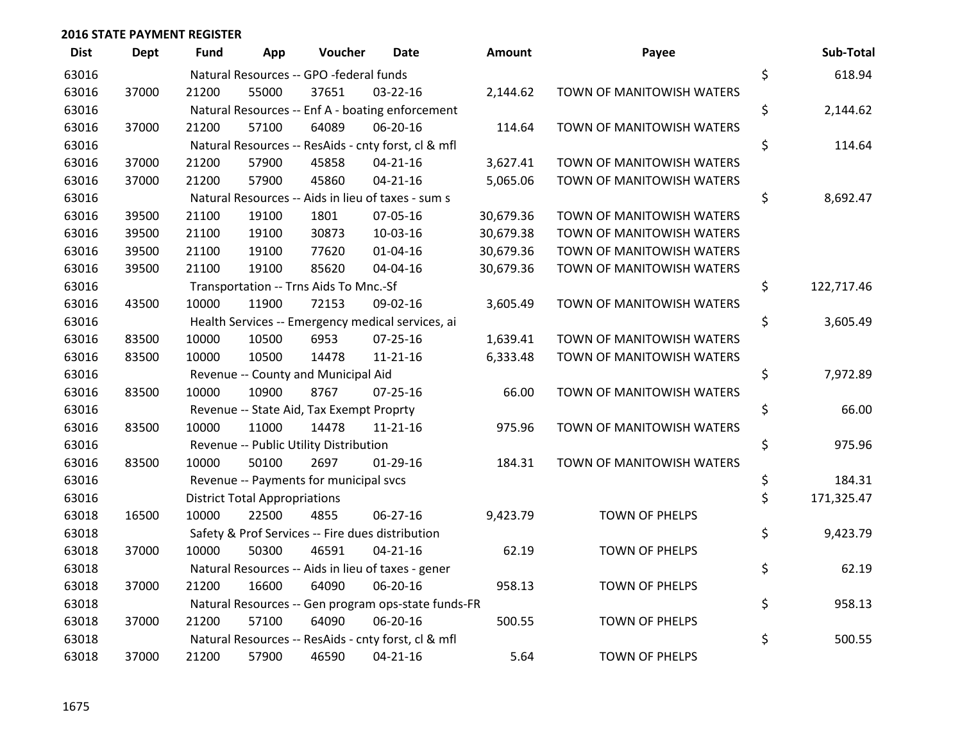| <b>Dist</b> | <b>Dept</b> | <b>Fund</b> | App                                  | Voucher                                  | <b>Date</b>                                         | Amount    | Payee                     | Sub-Total        |
|-------------|-------------|-------------|--------------------------------------|------------------------------------------|-----------------------------------------------------|-----------|---------------------------|------------------|
| 63016       |             |             |                                      | Natural Resources -- GPO -federal funds  |                                                     |           |                           | \$<br>618.94     |
| 63016       | 37000       | 21200       | 55000                                | 37651                                    | 03-22-16                                            | 2,144.62  | TOWN OF MANITOWISH WATERS |                  |
| 63016       |             |             |                                      |                                          | Natural Resources -- Enf A - boating enforcement    |           |                           | \$<br>2,144.62   |
| 63016       | 37000       | 21200       | 57100                                | 64089                                    | 06-20-16                                            | 114.64    | TOWN OF MANITOWISH WATERS |                  |
| 63016       |             |             |                                      |                                          | Natural Resources -- ResAids - cnty forst, cl & mfl |           |                           | \$<br>114.64     |
| 63016       | 37000       | 21200       | 57900                                | 45858                                    | $04 - 21 - 16$                                      | 3,627.41  | TOWN OF MANITOWISH WATERS |                  |
| 63016       | 37000       | 21200       | 57900                                | 45860                                    | $04 - 21 - 16$                                      | 5,065.06  | TOWN OF MANITOWISH WATERS |                  |
| 63016       |             |             |                                      |                                          | Natural Resources -- Aids in lieu of taxes - sum s  |           |                           | \$<br>8,692.47   |
| 63016       | 39500       | 21100       | 19100                                | 1801                                     | 07-05-16                                            | 30,679.36 | TOWN OF MANITOWISH WATERS |                  |
| 63016       | 39500       | 21100       | 19100                                | 30873                                    | 10-03-16                                            | 30,679.38 | TOWN OF MANITOWISH WATERS |                  |
| 63016       | 39500       | 21100       | 19100                                | 77620                                    | $01 - 04 - 16$                                      | 30,679.36 | TOWN OF MANITOWISH WATERS |                  |
| 63016       | 39500       | 21100       | 19100                                | 85620                                    | 04-04-16                                            | 30,679.36 | TOWN OF MANITOWISH WATERS |                  |
| 63016       |             |             |                                      | Transportation -- Trns Aids To Mnc.-Sf   |                                                     |           |                           | \$<br>122,717.46 |
| 63016       | 43500       | 10000       | 11900                                | 72153                                    | 09-02-16                                            | 3,605.49  | TOWN OF MANITOWISH WATERS |                  |
| 63016       |             |             |                                      |                                          | Health Services -- Emergency medical services, ai   |           |                           | \$<br>3,605.49   |
| 63016       | 83500       | 10000       | 10500                                | 6953                                     | 07-25-16                                            | 1,639.41  | TOWN OF MANITOWISH WATERS |                  |
| 63016       | 83500       | 10000       | 10500                                | 14478                                    | $11 - 21 - 16$                                      | 6,333.48  | TOWN OF MANITOWISH WATERS |                  |
| 63016       |             |             |                                      | Revenue -- County and Municipal Aid      |                                                     |           |                           | \$<br>7,972.89   |
| 63016       | 83500       | 10000       | 10900                                | 8767                                     | $07 - 25 - 16$                                      | 66.00     | TOWN OF MANITOWISH WATERS |                  |
| 63016       |             |             |                                      | Revenue -- State Aid, Tax Exempt Proprty |                                                     |           |                           | \$<br>66.00      |
| 63016       | 83500       | 10000       | 11000                                | 14478                                    | $11 - 21 - 16$                                      | 975.96    | TOWN OF MANITOWISH WATERS |                  |
| 63016       |             |             |                                      | Revenue -- Public Utility Distribution   |                                                     |           |                           | \$<br>975.96     |
| 63016       | 83500       | 10000       | 50100                                | 2697                                     | $01-29-16$                                          | 184.31    | TOWN OF MANITOWISH WATERS |                  |
| 63016       |             |             |                                      | Revenue -- Payments for municipal svcs   |                                                     |           |                           | \$<br>184.31     |
| 63016       |             |             | <b>District Total Appropriations</b> |                                          |                                                     |           |                           | \$<br>171,325.47 |
| 63018       | 16500       | 10000       | 22500                                | 4855                                     | 06-27-16                                            | 9,423.79  | TOWN OF PHELPS            |                  |
| 63018       |             |             |                                      |                                          | Safety & Prof Services -- Fire dues distribution    |           |                           | \$<br>9,423.79   |
| 63018       | 37000       | 10000       | 50300                                | 46591                                    | $04 - 21 - 16$                                      | 62.19     | TOWN OF PHELPS            |                  |
| 63018       |             |             |                                      |                                          | Natural Resources -- Aids in lieu of taxes - gener  |           |                           | \$<br>62.19      |
| 63018       | 37000       | 21200       | 16600                                | 64090                                    | 06-20-16                                            | 958.13    | <b>TOWN OF PHELPS</b>     |                  |
| 63018       |             |             |                                      |                                          | Natural Resources -- Gen program ops-state funds-FR |           |                           | \$<br>958.13     |
| 63018       | 37000       | 21200       | 57100                                | 64090                                    | 06-20-16                                            | 500.55    | TOWN OF PHELPS            |                  |
| 63018       |             |             |                                      |                                          | Natural Resources -- ResAids - cnty forst, cl & mfl |           |                           | \$<br>500.55     |
| 63018       | 37000       | 21200       | 57900                                | 46590                                    | $04 - 21 - 16$                                      | 5.64      | <b>TOWN OF PHELPS</b>     |                  |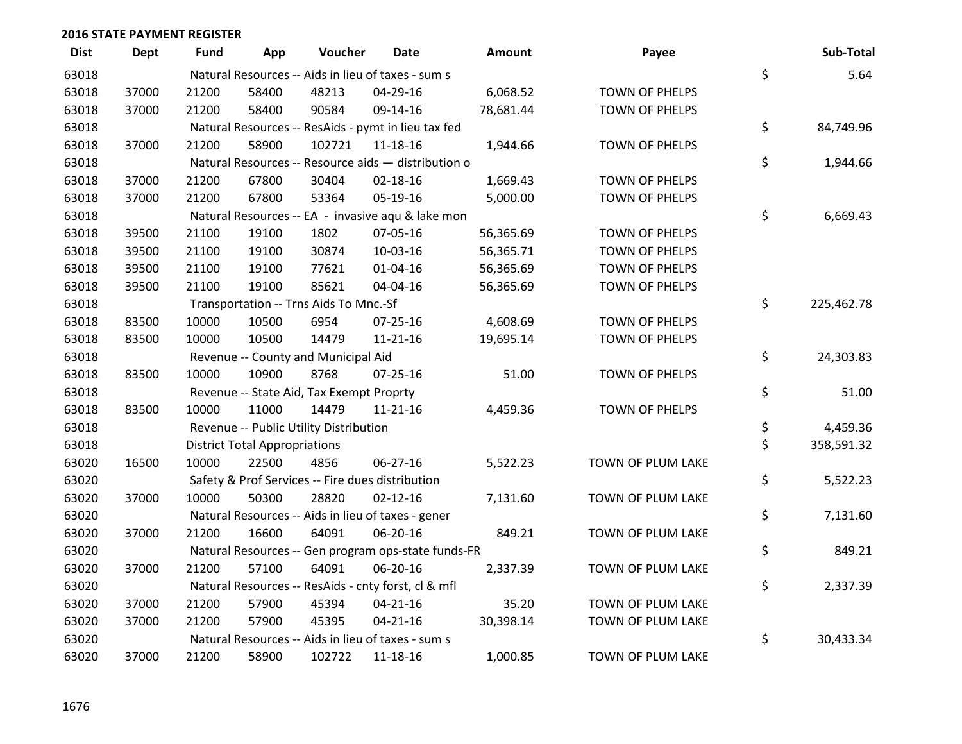| <b>Dist</b> | Dept  | <b>Fund</b> | App                                  | Voucher                                  | <b>Date</b>                                         | Amount    | Payee             | Sub-Total        |
|-------------|-------|-------------|--------------------------------------|------------------------------------------|-----------------------------------------------------|-----------|-------------------|------------------|
| 63018       |       |             |                                      |                                          | Natural Resources -- Aids in lieu of taxes - sum s  |           |                   | \$<br>5.64       |
| 63018       | 37000 | 21200       | 58400                                | 48213                                    | 04-29-16                                            | 6,068.52  | TOWN OF PHELPS    |                  |
| 63018       | 37000 | 21200       | 58400                                | 90584                                    | 09-14-16                                            | 78,681.44 | TOWN OF PHELPS    |                  |
| 63018       |       |             |                                      |                                          | Natural Resources -- ResAids - pymt in lieu tax fed |           |                   | \$<br>84,749.96  |
| 63018       | 37000 | 21200       | 58900                                | 102721                                   | 11-18-16                                            | 1,944.66  | TOWN OF PHELPS    |                  |
| 63018       |       |             |                                      |                                          | Natural Resources -- Resource aids - distribution o |           |                   | \$<br>1,944.66   |
| 63018       | 37000 | 21200       | 67800                                | 30404                                    | $02 - 18 - 16$                                      | 1,669.43  | TOWN OF PHELPS    |                  |
| 63018       | 37000 | 21200       | 67800                                | 53364                                    | 05-19-16                                            | 5,000.00  | TOWN OF PHELPS    |                  |
| 63018       |       |             |                                      |                                          | Natural Resources -- EA - invasive aqu & lake mon   |           |                   | \$<br>6,669.43   |
| 63018       | 39500 | 21100       | 19100                                | 1802                                     | 07-05-16                                            | 56,365.69 | TOWN OF PHELPS    |                  |
| 63018       | 39500 | 21100       | 19100                                | 30874                                    | 10-03-16                                            | 56,365.71 | TOWN OF PHELPS    |                  |
| 63018       | 39500 | 21100       | 19100                                | 77621                                    | $01 - 04 - 16$                                      | 56,365.69 | TOWN OF PHELPS    |                  |
| 63018       | 39500 | 21100       | 19100                                | 85621                                    | 04-04-16                                            | 56,365.69 | TOWN OF PHELPS    |                  |
| 63018       |       |             |                                      | Transportation -- Trns Aids To Mnc.-Sf   |                                                     |           |                   | \$<br>225,462.78 |
| 63018       | 83500 | 10000       | 10500                                | 6954                                     | 07-25-16                                            | 4,608.69  | TOWN OF PHELPS    |                  |
| 63018       | 83500 | 10000       | 10500                                | 14479                                    | 11-21-16                                            | 19,695.14 | TOWN OF PHELPS    |                  |
| 63018       |       |             |                                      | Revenue -- County and Municipal Aid      |                                                     |           |                   | \$<br>24,303.83  |
| 63018       | 83500 | 10000       | 10900                                | 8768                                     | 07-25-16                                            | 51.00     | TOWN OF PHELPS    |                  |
| 63018       |       |             |                                      | Revenue -- State Aid, Tax Exempt Proprty |                                                     |           |                   | \$<br>51.00      |
| 63018       | 83500 | 10000       | 11000                                | 14479                                    | 11-21-16                                            | 4,459.36  | TOWN OF PHELPS    |                  |
| 63018       |       |             |                                      | Revenue -- Public Utility Distribution   |                                                     |           |                   | \$<br>4,459.36   |
| 63018       |       |             | <b>District Total Appropriations</b> |                                          |                                                     |           |                   | \$<br>358,591.32 |
| 63020       | 16500 | 10000       | 22500                                | 4856                                     | 06-27-16                                            | 5,522.23  | TOWN OF PLUM LAKE |                  |
| 63020       |       |             |                                      |                                          | Safety & Prof Services -- Fire dues distribution    |           |                   | \$<br>5,522.23   |
| 63020       | 37000 | 10000       | 50300                                | 28820                                    | $02 - 12 - 16$                                      | 7,131.60  | TOWN OF PLUM LAKE |                  |
| 63020       |       |             |                                      |                                          | Natural Resources -- Aids in lieu of taxes - gener  |           |                   | \$<br>7,131.60   |
| 63020       | 37000 | 21200       | 16600                                | 64091                                    | 06-20-16                                            | 849.21    | TOWN OF PLUM LAKE |                  |
| 63020       |       |             |                                      |                                          | Natural Resources -- Gen program ops-state funds-FR |           |                   | \$<br>849.21     |
| 63020       | 37000 | 21200       | 57100                                | 64091                                    | 06-20-16                                            | 2,337.39  | TOWN OF PLUM LAKE |                  |
| 63020       |       |             |                                      |                                          | Natural Resources -- ResAids - cnty forst, cl & mfl |           |                   | \$<br>2,337.39   |
| 63020       | 37000 | 21200       | 57900                                | 45394                                    | $04 - 21 - 16$                                      | 35.20     | TOWN OF PLUM LAKE |                  |
| 63020       | 37000 | 21200       | 57900                                | 45395                                    | $04 - 21 - 16$                                      | 30,398.14 | TOWN OF PLUM LAKE |                  |
| 63020       |       |             |                                      |                                          | Natural Resources -- Aids in lieu of taxes - sum s  |           |                   | \$<br>30,433.34  |
| 63020       | 37000 | 21200       | 58900                                | 102722                                   | 11-18-16                                            | 1,000.85  | TOWN OF PLUM LAKE |                  |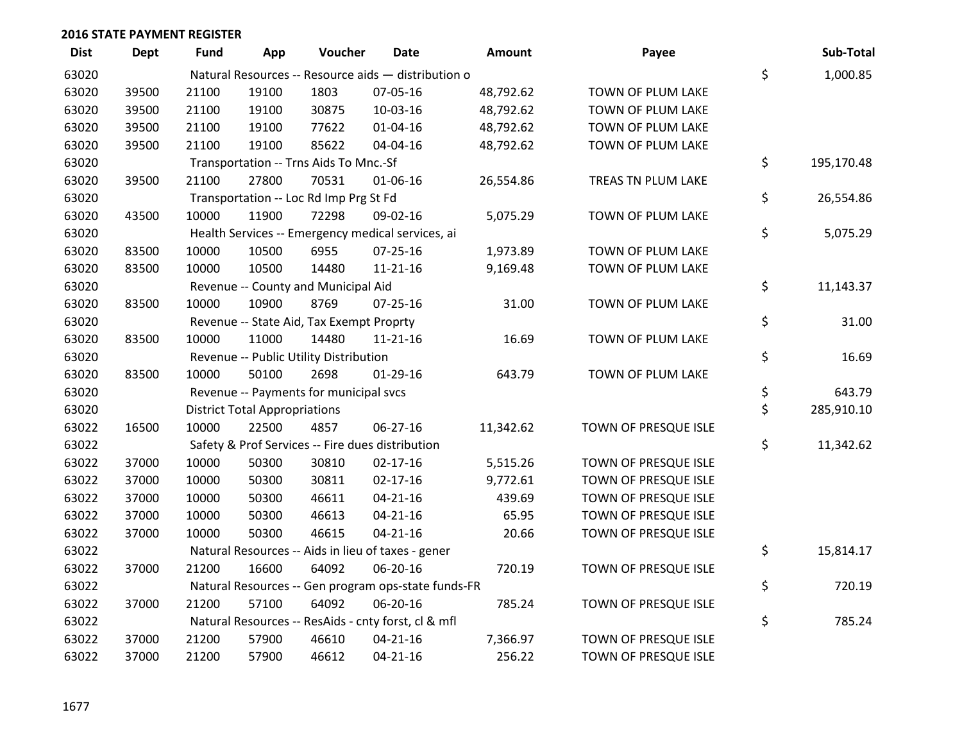| <b>Dist</b> | <b>Dept</b> | <b>Fund</b> | App                                      | Voucher                                | <b>Date</b>                                         | <b>Amount</b> | Payee                |    | Sub-Total  |
|-------------|-------------|-------------|------------------------------------------|----------------------------------------|-----------------------------------------------------|---------------|----------------------|----|------------|
| 63020       |             |             |                                          |                                        | Natural Resources -- Resource aids - distribution o |               |                      | \$ | 1,000.85   |
| 63020       | 39500       | 21100       | 19100                                    | 1803                                   | 07-05-16                                            | 48,792.62     | TOWN OF PLUM LAKE    |    |            |
| 63020       | 39500       | 21100       | 19100                                    | 30875                                  | 10-03-16                                            | 48,792.62     | TOWN OF PLUM LAKE    |    |            |
| 63020       | 39500       | 21100       | 19100                                    | 77622                                  | $01 - 04 - 16$                                      | 48,792.62     | TOWN OF PLUM LAKE    |    |            |
| 63020       | 39500       | 21100       | 19100                                    | 85622                                  | 04-04-16                                            | 48,792.62     | TOWN OF PLUM LAKE    |    |            |
| 63020       |             |             |                                          | Transportation -- Trns Aids To Mnc.-Sf |                                                     |               |                      | \$ | 195,170.48 |
| 63020       | 39500       | 21100       | 27800                                    | 70531                                  | 01-06-16                                            | 26,554.86     | TREAS TN PLUM LAKE   |    |            |
| 63020       |             |             | Transportation -- Loc Rd Imp Prg St Fd   |                                        |                                                     |               |                      |    |            |
| 63020       | 43500       | 10000       | 11900                                    | 72298                                  | 09-02-16                                            | 5,075.29      | TOWN OF PLUM LAKE    |    |            |
| 63020       |             |             |                                          |                                        | Health Services -- Emergency medical services, ai   |               |                      | \$ | 5,075.29   |
| 63020       | 83500       | 10000       | 10500                                    | 6955                                   | $07 - 25 - 16$                                      | 1,973.89      | TOWN OF PLUM LAKE    |    |            |
| 63020       | 83500       | 10000       | 10500                                    | 14480                                  | $11 - 21 - 16$                                      | 9,169.48      | TOWN OF PLUM LAKE    |    |            |
| 63020       |             |             |                                          | Revenue -- County and Municipal Aid    |                                                     |               |                      | \$ | 11,143.37  |
| 63020       | 83500       | 10000       | 10900                                    | 8769                                   | $07 - 25 - 16$                                      | 31.00         | TOWN OF PLUM LAKE    |    |            |
| 63020       |             |             | Revenue -- State Aid, Tax Exempt Proprty |                                        |                                                     |               |                      |    | 31.00      |
| 63020       | 83500       | 10000       | 11000                                    | 14480                                  | $11 - 21 - 16$                                      | 16.69         | TOWN OF PLUM LAKE    |    |            |
| 63020       |             |             |                                          | Revenue -- Public Utility Distribution |                                                     |               |                      | \$ | 16.69      |
| 63020       | 83500       | 10000       | 50100                                    | 2698                                   | $01-29-16$                                          | 643.79        | TOWN OF PLUM LAKE    |    |            |
| 63020       |             |             |                                          | Revenue -- Payments for municipal svcs |                                                     |               |                      | \$ | 643.79     |
| 63020       |             |             | <b>District Total Appropriations</b>     |                                        |                                                     |               |                      | \$ | 285,910.10 |
| 63022       | 16500       | 10000       | 22500                                    | 4857                                   | $06 - 27 - 16$                                      | 11,342.62     | TOWN OF PRESQUE ISLE |    |            |
| 63022       |             |             |                                          |                                        | Safety & Prof Services -- Fire dues distribution    |               |                      | \$ | 11,342.62  |
| 63022       | 37000       | 10000       | 50300                                    | 30810                                  | $02 - 17 - 16$                                      | 5,515.26      | TOWN OF PRESQUE ISLE |    |            |
| 63022       | 37000       | 10000       | 50300                                    | 30811                                  | $02 - 17 - 16$                                      | 9,772.61      | TOWN OF PRESQUE ISLE |    |            |
| 63022       | 37000       | 10000       | 50300                                    | 46611                                  | $04 - 21 - 16$                                      | 439.69        | TOWN OF PRESQUE ISLE |    |            |
| 63022       | 37000       | 10000       | 50300                                    | 46613                                  | $04 - 21 - 16$                                      | 65.95         | TOWN OF PRESQUE ISLE |    |            |
| 63022       | 37000       | 10000       | 50300                                    | 46615                                  | $04 - 21 - 16$                                      | 20.66         | TOWN OF PRESQUE ISLE |    |            |
| 63022       |             |             |                                          |                                        | Natural Resources -- Aids in lieu of taxes - gener  |               |                      | \$ | 15,814.17  |
| 63022       | 37000       | 21200       | 16600                                    | 64092                                  | 06-20-16                                            | 720.19        | TOWN OF PRESQUE ISLE |    |            |
| 63022       |             |             |                                          |                                        | Natural Resources -- Gen program ops-state funds-FR |               |                      | \$ | 720.19     |
| 63022       | 37000       | 21200       | 57100                                    | 64092                                  | 06-20-16                                            | 785.24        | TOWN OF PRESQUE ISLE |    |            |
| 63022       |             |             |                                          |                                        | Natural Resources -- ResAids - cnty forst, cl & mfl |               |                      | \$ | 785.24     |
| 63022       | 37000       | 21200       | 57900                                    | 46610                                  | $04 - 21 - 16$                                      | 7,366.97      | TOWN OF PRESQUE ISLE |    |            |
| 63022       | 37000       | 21200       | 57900                                    | 46612                                  | $04 - 21 - 16$                                      | 256.22        | TOWN OF PRESQUE ISLE |    |            |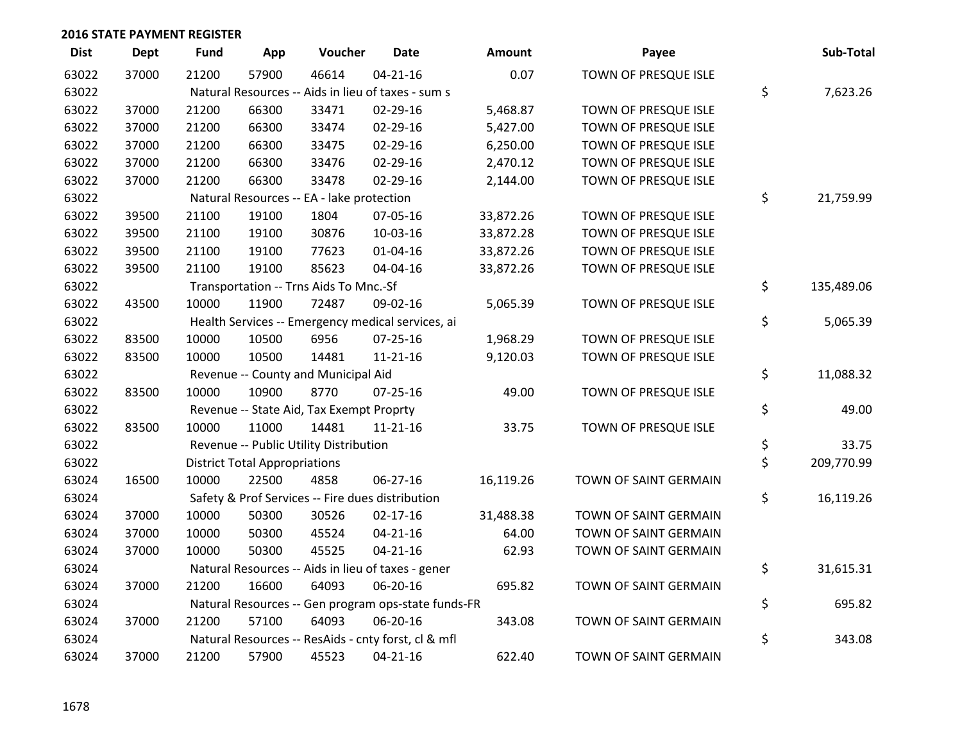| <b>Dist</b> | <b>Dept</b> | <b>Fund</b> | App                                  | Voucher                                             | Date           | <b>Amount</b> | Payee                 | Sub-Total        |
|-------------|-------------|-------------|--------------------------------------|-----------------------------------------------------|----------------|---------------|-----------------------|------------------|
| 63022       | 37000       | 21200       | 57900                                | 46614                                               | $04 - 21 - 16$ | 0.07          | TOWN OF PRESQUE ISLE  |                  |
| 63022       |             |             |                                      | Natural Resources -- Aids in lieu of taxes - sum s  |                |               |                       | \$<br>7,623.26   |
| 63022       | 37000       | 21200       | 66300                                | 33471                                               | 02-29-16       | 5,468.87      | TOWN OF PRESQUE ISLE  |                  |
| 63022       | 37000       | 21200       | 66300                                | 33474                                               | 02-29-16       | 5,427.00      | TOWN OF PRESQUE ISLE  |                  |
| 63022       | 37000       | 21200       | 66300                                | 33475                                               | 02-29-16       | 6,250.00      | TOWN OF PRESQUE ISLE  |                  |
| 63022       | 37000       | 21200       | 66300                                | 33476                                               | $02 - 29 - 16$ | 2,470.12      | TOWN OF PRESQUE ISLE  |                  |
| 63022       | 37000       | 21200       | 66300                                | 33478                                               | 02-29-16       | 2,144.00      | TOWN OF PRESQUE ISLE  |                  |
| 63022       |             |             |                                      | Natural Resources -- EA - lake protection           |                |               |                       | \$<br>21,759.99  |
| 63022       | 39500       | 21100       | 19100                                | 1804                                                | 07-05-16       | 33,872.26     | TOWN OF PRESQUE ISLE  |                  |
| 63022       | 39500       | 21100       | 19100                                | 30876                                               | 10-03-16       | 33,872.28     | TOWN OF PRESQUE ISLE  |                  |
| 63022       | 39500       | 21100       | 19100                                | 77623                                               | $01 - 04 - 16$ | 33,872.26     | TOWN OF PRESQUE ISLE  |                  |
| 63022       | 39500       | 21100       | 19100                                | 85623                                               | 04-04-16       | 33,872.26     | TOWN OF PRESQUE ISLE  |                  |
| 63022       |             |             |                                      | Transportation -- Trns Aids To Mnc.-Sf              |                |               |                       | \$<br>135,489.06 |
| 63022       | 43500       | 10000       | 11900                                | 72487                                               | 09-02-16       | 5,065.39      | TOWN OF PRESQUE ISLE  |                  |
| 63022       |             |             |                                      | Health Services -- Emergency medical services, ai   |                |               |                       | \$<br>5,065.39   |
| 63022       | 83500       | 10000       | 10500                                | 6956                                                | $07 - 25 - 16$ | 1,968.29      | TOWN OF PRESQUE ISLE  |                  |
| 63022       | 83500       | 10000       | 10500                                | 14481                                               | $11 - 21 - 16$ | 9,120.03      | TOWN OF PRESQUE ISLE  |                  |
| 63022       |             |             |                                      | Revenue -- County and Municipal Aid                 |                |               |                       | \$<br>11,088.32  |
| 63022       | 83500       | 10000       | 10900                                | 8770                                                | 07-25-16       | 49.00         | TOWN OF PRESQUE ISLE  |                  |
| 63022       |             |             |                                      | Revenue -- State Aid, Tax Exempt Proprty            |                |               |                       | \$<br>49.00      |
| 63022       | 83500       | 10000       | 11000                                | 14481                                               | $11 - 21 - 16$ | 33.75         | TOWN OF PRESQUE ISLE  |                  |
| 63022       |             |             |                                      | Revenue -- Public Utility Distribution              |                |               |                       | \$<br>33.75      |
| 63022       |             |             | <b>District Total Appropriations</b> |                                                     |                |               |                       | \$<br>209,770.99 |
| 63024       | 16500       | 10000       | 22500                                | 4858                                                | $06 - 27 - 16$ | 16,119.26     | TOWN OF SAINT GERMAIN |                  |
| 63024       |             |             |                                      | Safety & Prof Services -- Fire dues distribution    |                |               |                       | \$<br>16,119.26  |
| 63024       | 37000       | 10000       | 50300                                | 30526                                               | $02 - 17 - 16$ | 31,488.38     | TOWN OF SAINT GERMAIN |                  |
| 63024       | 37000       | 10000       | 50300                                | 45524                                               | $04 - 21 - 16$ | 64.00         | TOWN OF SAINT GERMAIN |                  |
| 63024       | 37000       | 10000       | 50300                                | 45525                                               | $04 - 21 - 16$ | 62.93         | TOWN OF SAINT GERMAIN |                  |
| 63024       |             |             |                                      | Natural Resources -- Aids in lieu of taxes - gener  |                |               |                       | \$<br>31,615.31  |
| 63024       | 37000       | 21200       | 16600                                | 64093                                               | 06-20-16       | 695.82        | TOWN OF SAINT GERMAIN |                  |
| 63024       |             |             |                                      | Natural Resources -- Gen program ops-state funds-FR |                |               |                       | \$<br>695.82     |
| 63024       | 37000       | 21200       | 57100                                | 64093                                               | 06-20-16       | 343.08        | TOWN OF SAINT GERMAIN |                  |
| 63024       |             |             |                                      | Natural Resources -- ResAids - cnty forst, cl & mfl |                |               |                       | \$<br>343.08     |
| 63024       | 37000       | 21200       | 57900                                | 45523                                               | $04 - 21 - 16$ | 622.40        | TOWN OF SAINT GERMAIN |                  |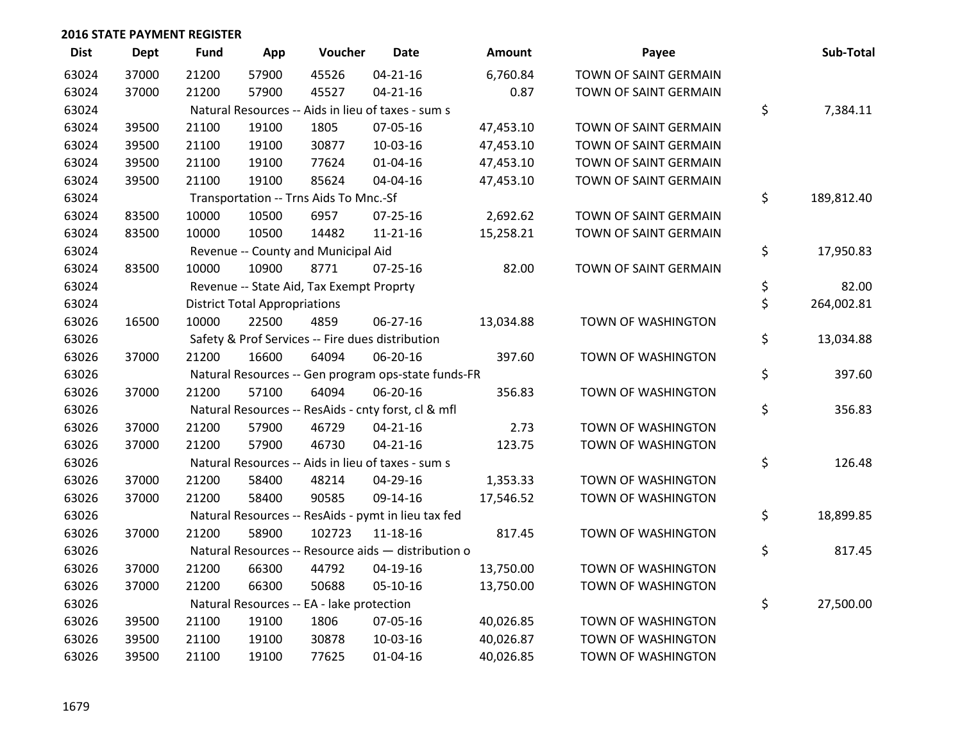| <b>Dist</b> | <b>Dept</b> | <b>Fund</b> | App                                  | Voucher                                             | Date           | Amount    | Payee                 | Sub-Total        |
|-------------|-------------|-------------|--------------------------------------|-----------------------------------------------------|----------------|-----------|-----------------------|------------------|
| 63024       | 37000       | 21200       | 57900                                | 45526                                               | $04 - 21 - 16$ | 6,760.84  | TOWN OF SAINT GERMAIN |                  |
| 63024       | 37000       | 21200       | 57900                                | 45527                                               | $04 - 21 - 16$ | 0.87      | TOWN OF SAINT GERMAIN |                  |
| 63024       |             |             |                                      | Natural Resources -- Aids in lieu of taxes - sum s  |                |           |                       | \$<br>7,384.11   |
| 63024       | 39500       | 21100       | 19100                                | 1805                                                | 07-05-16       | 47,453.10 | TOWN OF SAINT GERMAIN |                  |
| 63024       | 39500       | 21100       | 19100                                | 30877                                               | 10-03-16       | 47,453.10 | TOWN OF SAINT GERMAIN |                  |
| 63024       | 39500       | 21100       | 19100                                | 77624                                               | 01-04-16       | 47,453.10 | TOWN OF SAINT GERMAIN |                  |
| 63024       | 39500       | 21100       | 19100                                | 85624                                               | 04-04-16       | 47,453.10 | TOWN OF SAINT GERMAIN |                  |
| 63024       |             |             |                                      | Transportation -- Trns Aids To Mnc.-Sf              |                |           |                       | \$<br>189,812.40 |
| 63024       | 83500       | 10000       | 10500                                | 6957                                                | 07-25-16       | 2,692.62  | TOWN OF SAINT GERMAIN |                  |
| 63024       | 83500       | 10000       | 10500                                | 14482                                               | $11 - 21 - 16$ | 15,258.21 | TOWN OF SAINT GERMAIN |                  |
| 63024       |             |             |                                      | Revenue -- County and Municipal Aid                 |                |           |                       | \$<br>17,950.83  |
| 63024       | 83500       | 10000       | 10900                                | 8771                                                | $07 - 25 - 16$ | 82.00     | TOWN OF SAINT GERMAIN |                  |
| 63024       |             |             |                                      | Revenue -- State Aid, Tax Exempt Proprty            |                |           |                       | \$<br>82.00      |
| 63024       |             |             | <b>District Total Appropriations</b> |                                                     |                |           |                       | \$<br>264,002.81 |
| 63026       | 16500       | 10000       | 22500                                | 4859                                                | 06-27-16       | 13,034.88 | TOWN OF WASHINGTON    |                  |
| 63026       |             |             |                                      | Safety & Prof Services -- Fire dues distribution    |                |           |                       | \$<br>13,034.88  |
| 63026       | 37000       | 21200       | 16600                                | 64094                                               | 06-20-16       | 397.60    | TOWN OF WASHINGTON    |                  |
| 63026       |             |             |                                      | Natural Resources -- Gen program ops-state funds-FR |                |           |                       | \$<br>397.60     |
| 63026       | 37000       | 21200       | 57100                                | 64094                                               | 06-20-16       | 356.83    | TOWN OF WASHINGTON    |                  |
| 63026       |             |             |                                      | Natural Resources -- ResAids - cnty forst, cl & mfl |                |           |                       | \$<br>356.83     |
| 63026       | 37000       | 21200       | 57900                                | 46729                                               | $04 - 21 - 16$ | 2.73      | TOWN OF WASHINGTON    |                  |
| 63026       | 37000       | 21200       | 57900                                | 46730                                               | $04 - 21 - 16$ | 123.75    | TOWN OF WASHINGTON    |                  |
| 63026       |             |             |                                      | Natural Resources -- Aids in lieu of taxes - sum s  |                |           |                       | \$<br>126.48     |
| 63026       | 37000       | 21200       | 58400                                | 48214                                               | 04-29-16       | 1,353.33  | TOWN OF WASHINGTON    |                  |
| 63026       | 37000       | 21200       | 58400                                | 90585                                               | 09-14-16       | 17,546.52 | TOWN OF WASHINGTON    |                  |
| 63026       |             |             |                                      | Natural Resources -- ResAids - pymt in lieu tax fed |                |           |                       | \$<br>18,899.85  |
| 63026       | 37000       | 21200       | 58900                                | 102723                                              | $11 - 18 - 16$ | 817.45    | TOWN OF WASHINGTON    |                  |
| 63026       |             |             |                                      | Natural Resources -- Resource aids - distribution o |                |           |                       | \$<br>817.45     |
| 63026       | 37000       | 21200       | 66300                                | 44792                                               | 04-19-16       | 13,750.00 | TOWN OF WASHINGTON    |                  |
| 63026       | 37000       | 21200       | 66300                                | 50688                                               | $05-10-16$     | 13,750.00 | TOWN OF WASHINGTON    |                  |
| 63026       |             |             |                                      | Natural Resources -- EA - lake protection           |                |           |                       | \$<br>27,500.00  |
| 63026       | 39500       | 21100       | 19100                                | 1806                                                | 07-05-16       | 40,026.85 | TOWN OF WASHINGTON    |                  |
| 63026       | 39500       | 21100       | 19100                                | 30878                                               | 10-03-16       | 40,026.87 | TOWN OF WASHINGTON    |                  |
| 63026       | 39500       | 21100       | 19100                                | 77625                                               | $01 - 04 - 16$ | 40,026.85 | TOWN OF WASHINGTON    |                  |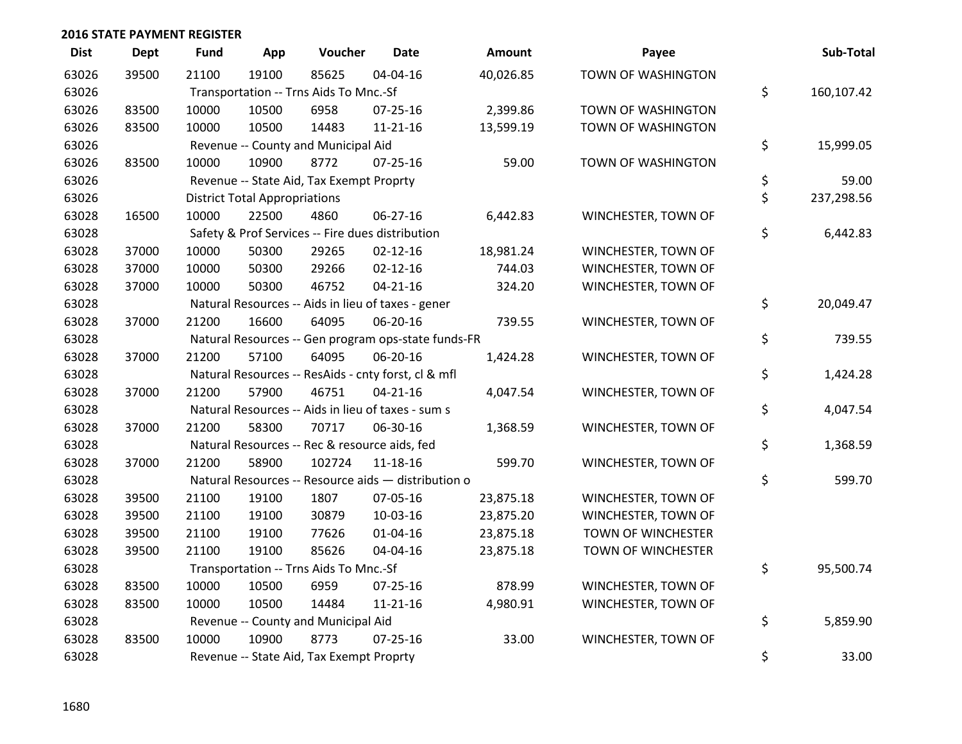| <b>Dist</b> | <b>Dept</b> | <b>Fund</b> | App                                  | Voucher                                          | <b>Date</b>                                         | Amount    | Payee               |    | Sub-Total  |  |
|-------------|-------------|-------------|--------------------------------------|--------------------------------------------------|-----------------------------------------------------|-----------|---------------------|----|------------|--|
| 63026       | 39500       | 21100       | 19100                                | 85625                                            | 04-04-16                                            | 40,026.85 | TOWN OF WASHINGTON  |    |            |  |
| 63026       |             |             |                                      | Transportation -- Trns Aids To Mnc.-Sf           |                                                     |           |                     | \$ | 160,107.42 |  |
| 63026       | 83500       | 10000       | 10500                                | 6958                                             | 07-25-16                                            | 2,399.86  | TOWN OF WASHINGTON  |    |            |  |
| 63026       | 83500       | 10000       | 10500                                | 14483                                            | $11 - 21 - 16$                                      | 13,599.19 | TOWN OF WASHINGTON  |    |            |  |
| 63026       |             |             |                                      | Revenue -- County and Municipal Aid              |                                                     |           |                     | \$ | 15,999.05  |  |
| 63026       | 83500       | 10000       | 10900                                | 8772                                             | 07-25-16                                            | 59.00     | TOWN OF WASHINGTON  |    |            |  |
| 63026       |             |             |                                      | Revenue -- State Aid, Tax Exempt Proprty         |                                                     |           |                     | \$ | 59.00      |  |
| 63026       |             |             | <b>District Total Appropriations</b> |                                                  |                                                     |           |                     |    |            |  |
| 63028       | 16500       | 10000       | 22500                                | 4860                                             | 06-27-16                                            | 6,442.83  | WINCHESTER, TOWN OF |    |            |  |
| 63028       |             |             |                                      | Safety & Prof Services -- Fire dues distribution |                                                     |           |                     | \$ | 6,442.83   |  |
| 63028       | 37000       | 10000       | 50300                                | 29265                                            | $02 - 12 - 16$                                      | 18,981.24 | WINCHESTER, TOWN OF |    |            |  |
| 63028       | 37000       | 10000       | 50300                                | 29266                                            | $02 - 12 - 16$                                      | 744.03    | WINCHESTER, TOWN OF |    |            |  |
| 63028       | 37000       | 10000       | 50300                                | 46752                                            | $04 - 21 - 16$                                      | 324.20    | WINCHESTER, TOWN OF |    |            |  |
| 63028       |             |             |                                      |                                                  | Natural Resources -- Aids in lieu of taxes - gener  |           |                     | \$ | 20,049.47  |  |
| 63028       | 37000       | 21200       | 16600                                | 64095                                            | 06-20-16                                            | 739.55    | WINCHESTER, TOWN OF |    |            |  |
| 63028       |             |             |                                      |                                                  | Natural Resources -- Gen program ops-state funds-FR |           |                     | \$ | 739.55     |  |
| 63028       | 37000       | 21200       | 57100                                | 64095                                            | 06-20-16                                            | 1,424.28  | WINCHESTER, TOWN OF |    |            |  |
| 63028       |             |             |                                      |                                                  | Natural Resources -- ResAids - cnty forst, cl & mfl |           |                     | \$ | 1,424.28   |  |
| 63028       | 37000       | 21200       | 57900                                | 46751                                            | $04 - 21 - 16$                                      | 4,047.54  | WINCHESTER, TOWN OF |    |            |  |
| 63028       |             |             |                                      |                                                  | Natural Resources -- Aids in lieu of taxes - sum s  |           |                     | \$ | 4,047.54   |  |
| 63028       | 37000       | 21200       | 58300                                | 70717                                            | 06-30-16                                            | 1,368.59  | WINCHESTER, TOWN OF |    |            |  |
| 63028       |             |             |                                      | Natural Resources -- Rec & resource aids, fed    |                                                     |           |                     | \$ | 1,368.59   |  |
| 63028       | 37000       | 21200       | 58900                                | 102724                                           | 11-18-16                                            | 599.70    | WINCHESTER, TOWN OF |    |            |  |
| 63028       |             |             |                                      |                                                  | Natural Resources -- Resource aids - distribution o |           |                     | \$ | 599.70     |  |
| 63028       | 39500       | 21100       | 19100                                | 1807                                             | 07-05-16                                            | 23,875.18 | WINCHESTER, TOWN OF |    |            |  |
| 63028       | 39500       | 21100       | 19100                                | 30879                                            | 10-03-16                                            | 23,875.20 | WINCHESTER, TOWN OF |    |            |  |
| 63028       | 39500       | 21100       | 19100                                | 77626                                            | $01 - 04 - 16$                                      | 23,875.18 | TOWN OF WINCHESTER  |    |            |  |
| 63028       | 39500       | 21100       | 19100                                | 85626                                            | 04-04-16                                            | 23,875.18 | TOWN OF WINCHESTER  |    |            |  |
| 63028       |             |             |                                      | Transportation -- Trns Aids To Mnc.-Sf           |                                                     |           |                     | \$ | 95,500.74  |  |
| 63028       | 83500       | 10000       | 10500                                | 6959                                             | 07-25-16                                            | 878.99    | WINCHESTER, TOWN OF |    |            |  |
| 63028       | 83500       | 10000       | 10500                                | 14484                                            | $11 - 21 - 16$                                      | 4,980.91  | WINCHESTER, TOWN OF |    |            |  |
| 63028       |             |             |                                      | Revenue -- County and Municipal Aid              |                                                     |           |                     | \$ | 5,859.90   |  |
| 63028       | 83500       | 10000       | 10900                                | 8773                                             | $07 - 25 - 16$                                      | 33.00     | WINCHESTER, TOWN OF |    |            |  |
| 63028       |             |             |                                      | Revenue -- State Aid, Tax Exempt Proprty         |                                                     |           |                     | \$ | 33.00      |  |